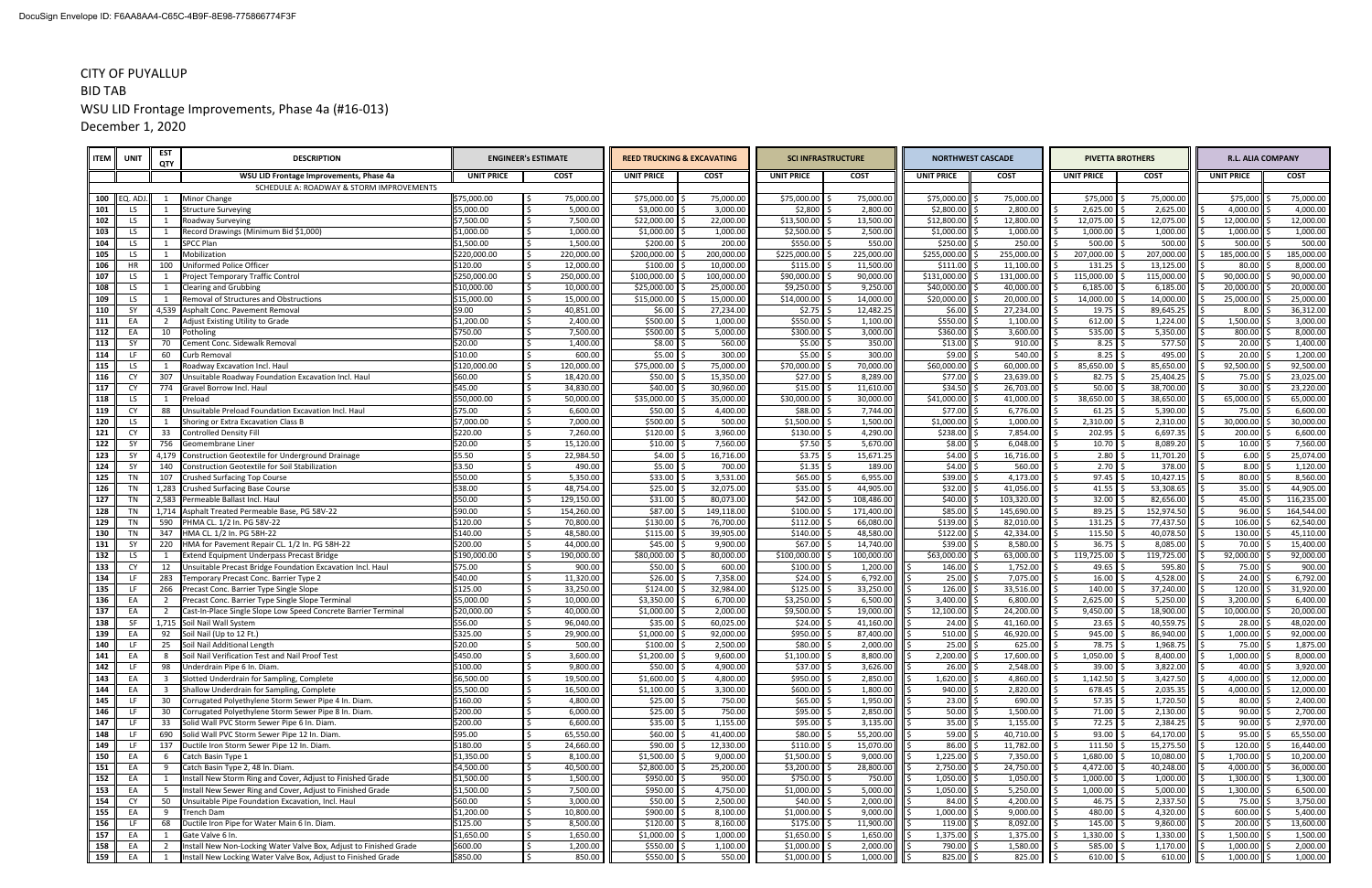| <b>ITEM</b> | <b>UNIT</b>      | EST<br>QTY              | <b>DESCRIPTION</b>                                                                                                 |                          | <b>ENGINEER'S ESTIMATE</b> | <b>REED TRUCKING &amp; EXCAVATING</b> |                       | <b>SCI INFRASTRUCTURE</b> |                       |                              | <b>NORTHWEST CASCADE</b> | <b>PIVETTA BROTHERS</b>      |                        |                      | <b>R.L. ALIA COMPANY</b> |
|-------------|------------------|-------------------------|--------------------------------------------------------------------------------------------------------------------|--------------------------|----------------------------|---------------------------------------|-----------------------|---------------------------|-----------------------|------------------------------|--------------------------|------------------------------|------------------------|----------------------|--------------------------|
|             |                  |                         | WSU LID Frontage Improvements, Phase 4a                                                                            | <b>UNIT PRICE</b>        | <b>COST</b>                | <b>UNIT PRICE</b>                     | <b>COST</b>           | <b>UNIT PRICE</b>         | <b>COST</b>           | <b>UNIT PRICE</b>            | <b>COST</b>              | <b>UNIT PRICE</b>            | <b>COST</b>            | <b>UNIT PRICE</b>    | <b>COST</b>              |
|             |                  |                         | SCHEDULE A: ROADWAY & STORM IMPROVEMENTS                                                                           |                          |                            |                                       |                       |                           |                       |                              |                          |                              |                        |                      |                          |
|             | 100 $ $ EQ. ADJ. |                         | <b>Minor Change</b>                                                                                                | \$75,000.00              | 75,000.00                  | \$75,000.00                           | 75,000.00             | \$75,000.00               | 75,000.00             | $$75,000.00$ :               | 75,000.00                | \$75,000                     | 75,000.00              | \$75,000             | 75,000.00                |
| 101         | LS.              |                         | <b>Structure Surveying</b>                                                                                         | \$5,000.00               | 5,000.00                   | \$3,000.00                            | 3,000.00              | \$2,800                   | 2,800.00              | \$2,800.00                   | 2,800.00                 | 2,625.00                     | 2,625.00               | 4,000.00             | 4,000.00                 |
| 102         | LS.              | 1                       | <b>Roadway Surveying</b>                                                                                           | \$7,500.00               | 7,500.00                   | \$22,000.00                           | 22,000.00             | \$13,500.00               | 13,500.00             | \$12,800.00                  | 12,800.00                | 12,075.00 \$                 | 12,075.00              | 12,000.00            | 12,000.00                |
| 103         | LS.              | 1                       | Record Drawings (Minimum Bid \$1,000)                                                                              | \$1,000.00<br>\$1,500.00 | 1,000.00                   | \$1,000.00                            | 1,000.00              | \$2,500.00                | 2,500.00              | \$1,000.00                   | 1,000.00<br>250.00       | 1,000.00                     | 1,000.00<br>500.00     | 1,000.00<br>500.00   | 1,000.00<br>500.00       |
| 104<br>105  | LS.<br>LS.       | -1                      | <b>SPCC Plan</b><br>Mobilization                                                                                   | \$220,000.00             | 1,500.00<br>220,000.00     | \$200.00<br>\$200,000.00              | 200.00<br>200,000.00  | \$550.00<br>\$225,000.00  | 550.00<br>225,000.00  | \$250.00<br>\$255,000.00     | 255,000.00               | 500.00<br>207,000.00         | 207,000.00             | 185,000.00           | 185,000.00               |
| 106         | HR               | 100                     | Uniformed Police Officer                                                                                           | \$120.00                 | 12,000.00                  | \$100.00                              | 10,000.00             | \$115.00                  | 11,500.00             | \$111.00                     | 11,100.00                | 131.25                       | 13,125.00              | 80.00                | 8,000.00                 |
| 107         | LS.              |                         | Project Temporary Traffic Control                                                                                  | \$250,000.00             | 250,000.00                 | \$100,000.00                          | 100,000.00            | \$90,000.00               | 90,000.00             | \$131,000.00                 | 131,000.00               | 115,000.00                   | 115,000.00             | 90,000.00            | 90,000.00                |
| 108         | LS.              | -1                      | <b>Clearing and Grubbing</b>                                                                                       | \$10,000.00              | 10,000.00                  | \$25,000.00                           | 25,000.00             | \$9,250.00                | 9,250.00              | \$40,000.00                  | 40,000.00                | 6,185.00                     | 6,185.00               | 20,000.00            | 20,000.00                |
| 109         | LS.              | 1                       | <b>Removal of Structures and Obstructions</b>                                                                      | \$15,000.00              | 15,000.00                  | \$15,000.00                           | 15,000.00             | \$14,000.00               | 14,000.00             | $$20,000.00$ :               | 20,000.00                | 14,000.00                    | 14,000.00              | 25,000.00            | 25,000.00                |
| 110         | SY               |                         | 4,539 Asphalt Conc. Pavement Removal                                                                               | \$9.00                   | 40,851.00                  | \$6.00                                | 27,234.00             | \$2.75                    | 12,482.25             | $$6.00$ \$                   | 27,234.00                | 19.75                        | 89,645.25              | 8.00                 | 36,312.00                |
| 111         | EA               | 2                       | Adjust Existing Utility to Grade                                                                                   | \$1,200.00               | 2,400.00                   | \$500.00                              | 1,000.00              | \$550.00                  | 1,100.00              | \$550.00                     | 1,100.00                 | 612.00                       | 1,224.00               | 1,500.00             | 3,000.00                 |
| 112         | EA               | 10                      | Potholing                                                                                                          | \$750.00                 | 7,500.00                   | \$500.00                              | 5,000.00              | \$300.00                  | 3,000.00              | \$360.00                     | 3,600.00                 | 535.00                       | 5,350.00               | 800.00               | 8,000.00                 |
| 113         | SY               | 70                      | Cement Conc. Sidewalk Removal                                                                                      | \$20.00                  | 1,400.00                   | \$8.00                                | 560.00                | \$5.00                    | 350.00                | $$13.00$ \$                  | 910.00                   | 8.25                         | 577.50                 | 20.00                | 1,400.00                 |
| 114         | LF.              | 60                      | Curb Removal                                                                                                       | \$10.00                  | 600.00                     | \$5.00                                | 300.00                | \$5.00                    | 300.00                | $$9.00$ \$                   | 540.00                   | 8.25                         | 495.00                 | 20.00                | 1,200.00                 |
| 115         | LS.              | $\mathbf{1}$            | Roadway Excavation Incl. Haul                                                                                      | \$120,000.00             | 120,000.00                 | \$75,000.00                           | 75,000.00             | \$70,000.00               | 70,000.00             | \$60,000.00                  | 60,000.00                | 85,650.00                    | 85,650.00              | 92,500.00            | 92,500.00                |
| 116         | <b>CY</b>        | 307                     | Unsuitable Roadway Foundation Excavation Incl. Haul                                                                | \$60.00                  | 18,420.00                  | \$50.00                               | 15,350.00             | \$27.00                   | 8,289.00              | $$77.00$ \ \;                | 23,639.00                | $82.75$ \$                   | 25,404.25              | 75.00                | 23,025.00                |
| 117         | CY               | 774                     | Gravel Borrow Incl. Haul                                                                                           | \$45.00                  | 34,830.00                  | \$40.00                               | 30,960.00             | \$15.00                   | 11,610.00             | \$34.50                      | 26,703.00                | 50.00                        | 38,700.00              | 30.00                | 23,220.00                |
| 118         | LS.              | 88                      | Preload<br>Unsuitable Preload Foundation Excavation Incl. Haul                                                     | \$50,000.00<br>\$75.00   | 50,000.00                  | \$35,000.00                           | 35,000.00             | \$30,000.00<br>\$88.00    | 30,000.00<br>7,744.00 | \$41,000.00<br>\$77.00       | 41,000.00                | 38,650.00                    | 38,650.00              | 65,000.00            | 65,000.00<br>6,600.00    |
| 119<br>120  | CY<br>LS.        | -1                      | Shoring or Extra Excavation Class B                                                                                | \$7,000.00               | 6,600.00<br>7,000.00       | \$50.00<br>\$500.00                   | 4,400.00<br>500.00    | \$1,500.00                | 1,500.00              | \$1,000.00                   | 6,776.00<br>1,000.00     | $61.25$ \$<br>$2,310.00$ \$  | 5,390.00<br>2,310.00   | 75.00<br>30,000.00   | 30,000.00                |
| 121         | <b>CY</b>        | 33                      | Controlled Density Fill                                                                                            | \$220.00                 | 7,260.00                   | \$120.00                              | 3,960.00              | \$130.00                  | 4,290.00              | \$238.00                     | 7,854.00                 | $202.95$ \$                  | 6,697.35               | 200.00               | 6,600.00                 |
| 122         | SY               | 756                     | Geomembrane Liner                                                                                                  | \$20.00                  | 15,120.00                  | \$10.00                               | 7,560.00              | \$7.50                    | 5,670.00              | $$8.00$ \$                   | 6,048.00                 | $10.70$ \$                   | 8,089.20               | $10.00$ \$           | 7,560.00                 |
| 123         | SY               | 4,179                   | Construction Geotextile for Underground Drainage                                                                   | \$5.50                   | 22,984.50                  | \$4.00                                | 16,716.00             | \$3.75                    | 15,671.25             | $$4.00$ \$                   | 16,716.00                | $2.80$ \$                    | 11,701.20              | 6.00                 | 25,074.00                |
| 124         | SY               | 140                     | Construction Geotextile for Soil Stabilization                                                                     | \$3.50                   | 490.00                     | \$5.00                                | 700.00                | \$1.35                    | 189.00                | $$4.00$ \$                   | 560.00                   | 2.70                         | 378.00                 | 8.00                 | 1,120.00                 |
| 125         | TN               | 107                     | Crushed Surfacing Top Course                                                                                       | \$50.00                  | 5,350.00                   | \$33.00                               | 3,531.00              | \$65.00                   | 6,955.00              | $$39.00$ \$                  | 4,173.00                 | 97.45                        | 10,427.15              | $80.00$ $\leq$       | 8,560.00                 |
| 126         | TN               |                         | 1,283 Crushed Surfacing Base Course                                                                                | \$38.00                  | 48,754.00                  | \$25.00                               | 32,075.00             | \$35.00                   | 44,905.00             | \$32.00                      | 41,056.00                | $41.55$ \$                   | 53,308.65              | 35.00                | 44,905.00                |
| 127         | TN               |                         | 2,583 Permeable Ballast Incl. Haul                                                                                 | \$50.00                  | 129,150.00                 | \$31.00                               | 80,073.00             | \$42.00                   | 108,486.00            | $$40.00$ \$                  | 103,320.00               | $32.00$ \$                   | 82,656.00              | 45.00                | 116,235.00               |
| 128         | TN               |                         | 1,714 Asphalt Treated Permeable Base, PG 58V-22                                                                    | \$90.00                  | 154,260.00                 | \$87.00                               | 149,118.00            | \$100.00                  | 171,400.00            | $$85.00$ \$                  | 145,690.00               | 89.25                        | 152,974.50             | 96.00                | 164,544.00               |
| 129         | TN               | 590                     | PHMA CL. 1/2 In. PG 58V-22                                                                                         | \$120.00                 | 70,800.00                  | \$130.00                              | 76,700.00             | \$112.00                  | 66,080.00             | $$139.00$ $\vert$ :          | 82,010.00                | 131.25                       | 77,437.50              | 106.00               | 62,540.00                |
| 130         | TN               | 347                     | HMA CL. 1/2 In. PG 58H-22                                                                                          | \$140.00                 | 48,580.00                  | \$115.00                              | 39,905.00             | \$140.00                  | 48,580.00             | $$122.00$ $\frac{3}{2}$      | 42,334.00                | 115.50                       | 40,078.50              | 130.00               | 45,110.00                |
| 131         | SY               | 220                     | HMA for Pavement Repair CL. 1/2 In. PG 58H-22                                                                      | \$200.00                 | 44,000.00                  | \$45.00                               | 9,900.00              | \$67.00                   | 14,740.00             | \$39.00                      | 8,580.00                 | 36.75                        | 8,085.00               | 70.00                | 15,400.00                |
| 132         | LS.              | 1                       | <b>Extend Equipment Underpass Precast Bridge</b>                                                                   | \$190,000.00             | 190,000.00                 | \$80,000.00                           | 80,000.00             | \$100,000.00              | 100,000.00            | \$63,000.00                  | 63,000.00                | 119,725.00                   | 119,725.00             | 92,000.00            | 92,000.00                |
| 133         | CY               | 12                      | Unsuitable Precast Bridge Foundation Excavation Incl. Haul                                                         | \$75.00                  | 900.00                     | \$50.00                               | 600.00                | \$100.00                  | 1,200.00              | 146.00                       | 1,752.00                 | 49.65                        | 595.80                 | 75.00                | 900.00                   |
| 134         | LF.              | 283                     | Temporary Precast Conc. Barrier Type 2                                                                             | \$40.00                  | 11,320.00                  | \$26.00                               | 7,358.00              | \$24.00                   | 6,792.00              | $25.00$ \$                   | 7,075.00                 | 16.00                        | 4,528.00               | 24.00                | 6,792.00                 |
| 135         | LF               | 266<br>$\overline{2}$   | Precast Conc. Barrier Type Single Slope                                                                            | \$125.00<br>\$5,000.00   | 33,250.00<br>10,000.00     | \$124.00<br>\$3,350.00                | 32,984.00<br>6,700.00 | \$125.00<br>\$3,250.00    | 33,250.00<br>6,500.00 | 126.00<br>3,400.00           | 33,516.00<br>6,800.00    | 140.00<br>2,625.00           | 37,240.00<br>5,250.00  | 120.00<br>3,200.00   | 31,920.00<br>6,400.00    |
| 136<br>137  | EA<br>EA         | $\overline{2}$          | Precast Conc. Barrier Type Single Slope Terminal<br>Cast-In-Place Single Slope Low Speed Concrete Barrier Terminal | \$20,000.00              | 40,000.00                  | \$1,000.00                            | 2,000.00              | \$9,500.00                | 19,000.00             | 12,100.00                    | 24,200.00                | 9,450.00                     | 18,900.00              | 10,000.00            | 20,000.00                |
| 138         | SF               |                         | 1,715 Soil Nail Wall System                                                                                        | \$56.00                  | 96,040.00                  | \$35.00                               | 60,025.00             | \$24.00                   | 41,160.00             | 24.00                        | 41,160.00                | 23.65                        | 40,559.75              | 28.00                | 48,020.00                |
| 139         | EA               | 92                      | Soil Nail (Up to 12 Ft.)                                                                                           | \$325.00                 | 29,900.00                  | \$1,000.00                            | 92,000.00             | \$950.00                  | 87,400.00             | $510.00$ \$                  | 46,920.00                | 945.00                       | 86,940.00              | $1,000.00$ \$        | 92,000.00                |
| 140         | LF               | 25                      | Soil Nail Additional Length                                                                                        | \$20.00                  | 500.00                     | $$100.00$ $$$                         | 2,500.00              | $$80.00$ $$$              | 2,000.00              | $25.00$   \$                 | 625.00                   | 78.75   \$                   | 1,968.75               | 75.00   \$           | 1,875.00                 |
| 141         | EA               | 8                       | Soil Nail Verification Test and Nail Proof Test                                                                    | \$450.00                 | 3,600.00                   | $$1,200.00$ \$                        | 9,600.00              | \$1,100.00                | 8,800.00              | $2,200.00$ \$                | 17,600.00                | $1,050.00$ \$                | 8,400.00               | $1,000.00$ \$        | 8,000.00                 |
| 142         | LF               | 98                      | Underdrain Pipe 6 In. Diam.                                                                                        | \$100.00                 | 9,800.00                   | $$50.00$ \$                           | 4,900.00              | \$37.00                   | 3,626.00              | $26.00$ \$                   | 2,548.00                 | $39.00$ \$                   | 3,822.00               | 40.00                | 3,920.00                 |
| 143         | EA               | $\overline{\mathbf{3}}$ | Slotted Underdrain for Sampling, Complete                                                                          | \$6,500.00               | 19,500.00                  | $$1,600.00$ \$                        | 4,800.00              | \$950.00                  | 2,850.00              | $1,620.00$ \$                | 4,860.00                 | $1,142.50$ \$                | 3,427.50               | $4,000.00$ \$        | 12,000.00                |
| 144         | EA               | $\overline{\mathbf{3}}$ | Shallow Underdrain for Sampling, Complete                                                                          | \$5,500.00               | 16,500.00                  | $$1,100.00$ \$                        | 3,300.00              | \$600.00                  | 1,800.00              | $940.00$ \$                  | 2,820.00                 | $678.45$ \$                  | 2,035.35               | $4,000.00$ \$        | 12,000.00                |
| 145         | LF               | 30                      | Corrugated Polyethylene Storm Sewer Pipe 4 In. Diam.                                                               | \$160.00                 | 4,800.00                   | $$25.00$ \$                           | 750.00                | \$65.00                   | 1,950.00              | $23.00$ \$                   | 690.00                   | $57.35$ \$                   | 1,720.50               | 80.00                | 2,400.00                 |
| 146         | LF.              | 30                      | Corrugated Polyethylene Storm Sewer Pipe 8 In. Diam.                                                               | \$200.00                 | 6,000.00                   | $$25.00$ \$                           | 750.00                | \$95.00                   | 2,850.00              | $50.00$ \$                   | 1,500.00                 | $71.00$ \$                   | 2,130.00               | 90.00                | 2,700.00                 |
| 147         | LF.              | 33                      | Solid Wall PVC Storm Sewer Pipe 6 In. Diam                                                                         | \$200.00                 | 6,600.00                   | $$35.00$ \;                           | 1,155.00              | \$95.00                   | 3,135.00              | $35.00$ \$                   | 1,155.00                 | $72.25$ \$                   | 2,384.25               | $90.00$ \$           | 2,970.00                 |
| 148         | LF               | 690                     | Solid Wall PVC Storm Sewer Pipe 12 In. Diam.                                                                       | \$95.00                  | 65,550.00                  | \$60.00                               | 41,400.00             | \$80.00                   | 55,200.00             | $59.00$ \$                   | 40,710.00                | $93.00$ \$                   | 64,170.00              | 95.00                | 65,550.00                |
| 149         | LF.              | 137                     | Ductile Iron Storm Sewer Pipe 12 In. Diam.                                                                         | \$180.00                 | 24,660.00                  | $$90.00$ $$$                          | 12,330.00             | \$110.00                  | 15,070.00             | $86.00$ \$                   | 11,782.00                | $111.50$ \$                  | 15,275.50              | 120.00               | 16,440.00                |
| 150         | EA               | 6                       | Catch Basin Type 1                                                                                                 | \$1,350.00<br>\$4,500.00 | 8,100.00                   | \$1,500.00<br>\$2,800.00              | 9,000.00              | \$1,500.00<br>\$3,200.00  | 9,000.00<br>28,800.00 | $1,225.00$ \$<br>2,750.00 \$ | 7,350.00                 | $1,680.00$ \$<br>4,472.00 \$ | 10,080.00<br>40,248.00 | 1,700.00<br>4,000.00 | 10,200.00<br>36,000.00   |
| 151<br>152  | EA<br>EA         | 9                       | Catch Basin Type 2, 48 In. Diam.<br>Install New Storm Ring and Cover, Adjust to Finished Grade                     | \$1,500.00               | 40,500.00<br>1,500.00      | $$950.00$ \$                          | 25,200.00<br>950.00   | \$750.00                  | 750.00                | $1,050.00$ \$                | 24,750.00<br>1,050.00    | $1,000.00$ \$                | 1,000.00               | $1,300.00$ \$        | 1,300.00                 |
| 153         | EA               | - 5                     | Install New Sewer Ring and Cover, Adjust to Finished Grade                                                         | \$1,500.00               | 7,500.00                   | $$950.00$ \$                          | 4,750.00              | \$1,000.00                | 5,000.00              | $1,050.00$ \$                | 5,250.00                 | $1,000.00$ \$                | 5,000.00               | $1,300.00$ \$        | 6,500.00                 |
| 154         | CY               | 50                      | Unsuitable Pipe Foundation Excavation, Incl. Haul                                                                  | \$60.00                  | 3,000.00                   | $$50.00$ $$$                          | 2,500.00              | \$40.00                   | 2,000.00              | $84.00$ \$                   | 4,200.00                 | $46.75$ \$                   | 2,337.50               | 75.00 \$             | 3,750.00                 |
| 155         | EA               | 9                       | Trench Dam                                                                                                         | \$1,200.00               | 10,800.00                  | $$900.00$ \$                          | 8,100.00              | \$1,000.00                | 9,000.00              | $1,000.00$ \$                | 9,000.00                 | $480.00$ \$                  | 4,320.00               | $600.00$ \$          | 5,400.00                 |
| 156         | LF               | 68                      | Ductile Iron Pipe for Water Main 6 In. Diam.                                                                       | \$125.00                 | 8,500.00                   | $$120.00$ \$                          | 8,160.00              | \$175.00                  | 11,900.00             | $119.00$ \$                  | 8,092.00                 | $145.00$ \$                  | 9,860.00               | $200.00$ \$          | 13,600.00                |
| 157         | EA               | 1                       | Gate Valve 6 In.                                                                                                   | \$1,650.00               | 1,650.00                   | \$1,000.00                            | 1,000.00              | \$1,650.00                | 1,650.00              | $1,375.00$ \$                | 1,375.00                 | 1,330.00 \$                  | 1,330.00               | 1,500.00             | 1,500.00                 |
| 158         | EA               | 2                       | Install New Non-Locking Water Valve Box, Adjust to Finished Grade                                                  | \$600.00                 | 1,200.00                   | $$550.00$ \$                          | 1,100.00              | \$1,000.00                | 2,000.00              | 790.00 \$                    | 1,580.00                 | $585.00$ \$                  | 1,170.00               | $1,000.00$ \$        | 2,000.00                 |
| 159         | EA               | 1                       | Install New Locking Water Valve Box, Adjust to Finished Grade                                                      | \$850.00                 | 850.00                     | $$550.00$ \$                          | 550.00                | $$1,000.00$ \$            | 1,000.00              | $825.00$ \$                  | 825.00                   | $610.00$ \$                  | 610.00                 | $1,000.00$ \$        | 1,000.00                 |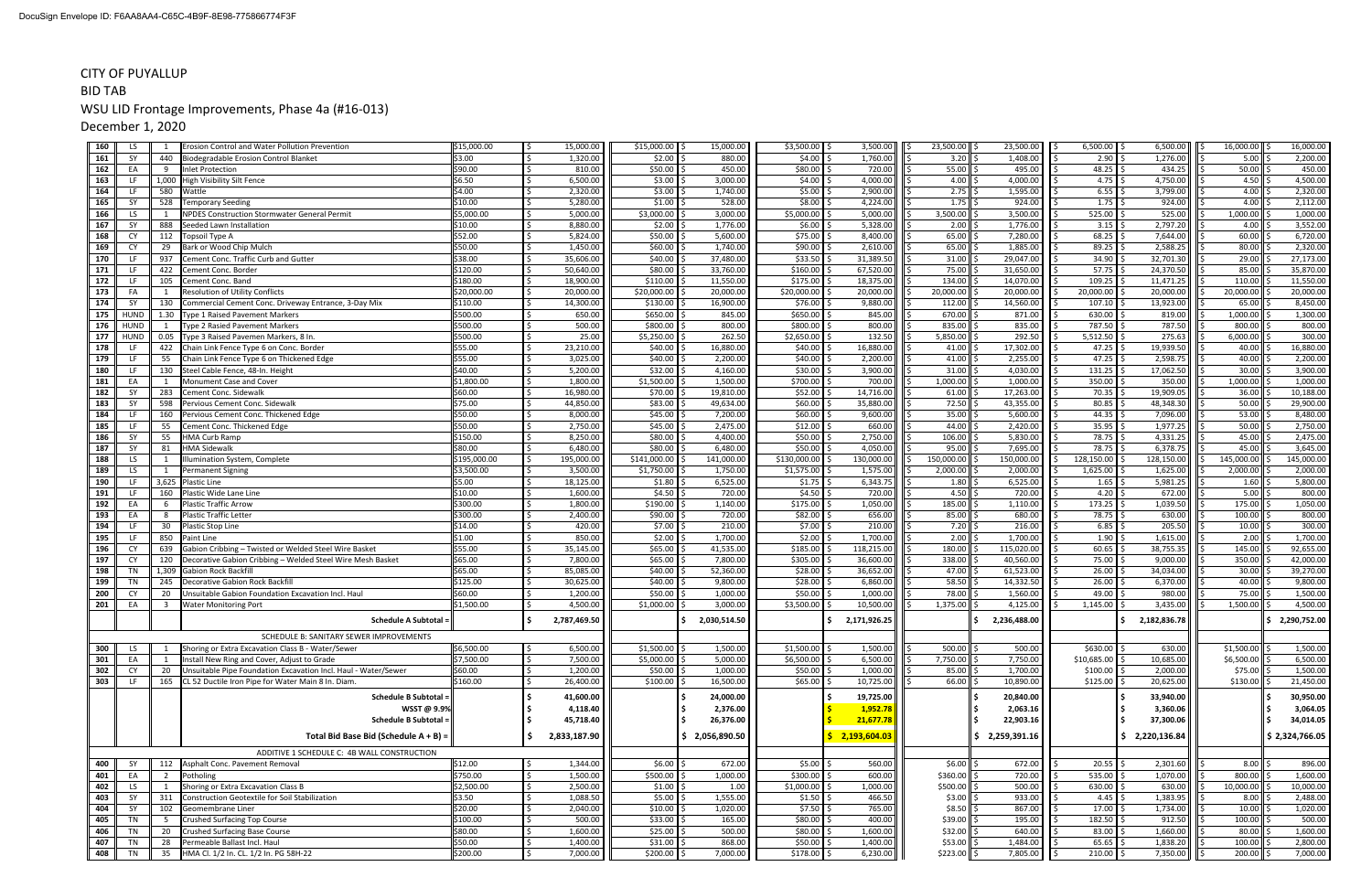#### CITY OF PUYALLUP

#### BID TABWSU LID Frontage Improvements, Phase 4a (#16-013)

December 1, 2020

| 160        | <b>LS</b>   | Erosion Control and Water Pollution Prevention                                    | \$15,000.00             | 15,000.00              | \$15,000.00             | 15,000.00              | $$3,500.00$ \$                 | 3,500.00               | 23,500.00           | 23,500.00              | 6,500.00            | 6,500.00               | 16,000.00<br>16,000.00                        |
|------------|-------------|-----------------------------------------------------------------------------------|-------------------------|------------------------|-------------------------|------------------------|--------------------------------|------------------------|---------------------|------------------------|---------------------|------------------------|-----------------------------------------------|
| 161        | SY          | 440<br>Biodegradable Erosion Control Blanket                                      | \$3.00                  | 1,320.00               | $$2.00$ $\vert$ \$      | 880.00                 | $$4.00$ $$$                    | 1,760.00               | $3.20$ \$<br>ll S   | 1,408.00               | $2.90$ $\mid$       | 1,276.00               | 5.00<br>2,200.00                              |
| 162        | EA          | <b>Inlet Protection</b><br>q                                                      | \$90.00                 | 810.00                 | \$50.00                 | 450.00                 | $$80.00$ $$$                   | 720.00                 | 55.00               | 495.00                 | 48.25               | 434.25                 | 50.00<br>450.00                               |
| 163        | LF          | 1,000 High Visibility Silt Fence                                                  | \$6.50                  | 6,500.00               | \$3.00                  | 3,000.00               | $$4.00$ \$                     | 4,000.00               | 4.00                | 4,000.00               | 4.75                | 4,750.00               | 4,500.00<br>4.50                              |
| 164        | LF          | 580<br>Wattle                                                                     | \$4.00                  | 2,320.00               | \$3.00                  | 1,740.00               | $$5.00$ S                      | 2,900.00               | 2.75                | 1,595.00               | 6.55                | 3,799.00               | 4.00<br>2,320.00                              |
| 165        | SY          | 528<br><b>Temporary Seeding</b>                                                   | \$10.00                 | 5,280.00               | \$1.00                  | 528.00                 | $$8.00$ $$$                    | 4,224.00               | 1.75                | 924.00                 | 1.75                | 924.00                 | 2,112.00<br>4.00                              |
| 166        | LS.         | <b>NPDES Construction Stormwater General Permit</b>                               | \$5,000.00              | 5,000.00               | \$3,000.00              | 3,000.00               | $$5,000.00$ \$                 | 5,000.00               | 3,500.00            | 3,500.00               | 525.00              | 525.00                 | 1,000.00<br>1,000.00                          |
| 167        | SY          | 888<br>Seeded Lawn Installation                                                   | \$10.00                 | 8,880.00               | \$2.00                  | 1,776.00               | $$6.00$ \$                     | 5,328.00               | 2.00                | 1,776.00               | 3.15                | 2,797.20               | 4.00<br>3,552.00                              |
| 168        | CY          | 112<br><b>Topsoil Type A</b>                                                      | \$52.00                 | 5,824.00               | \$50.00                 | 5,600.00               | $$75.00$ $$$                   | 8,400.00               | 65.00               | 7,280.00               | 68.25               | 7,644.00               | 60.00<br>6,720.00                             |
| 169        | <b>CY</b>   | 29<br>Bark or Wood Chip Mulch                                                     | \$50.00                 | 1,450.00               | \$60.00                 | 1,740.00               | $$90.00$ \$                    | 2,610.00               | 65.00               | 1,885.00               | 89.25               | 2,588.25               | 2,320.00<br>80.00                             |
| 170        | LF          | Cement Conc. Traffic Curb and Gutter<br>937                                       | \$38.00                 | 35,606.00              | \$40.00                 | 37,480.00              | $$33.50$ \$                    | 31,389.50              | 31.00               | 29,047.00              | 34.90               | 32,701.30              | 29.00<br>27,173.00                            |
| 171        | LF          | 422<br>Cement Conc. Border                                                        | \$120.00                | 50,640.00              | \$80.00                 | 33,760.00              | \$160.00                       | 67,520.00              | 75.00               | 31,650.00              | 57.75               | 24,370.50              | 35,870.00<br>85.00                            |
| 172        | LF<br>FA    | 105<br>Cement Conc. Band<br><b>Resolution of Utility Conflicts</b>                | \$180.00                | 18,900.00<br>20,000.00 | \$110.00                | 11,550.00<br>20,000.00 | $$175.00$ \$                   | 18,375.00<br>20,000.00 | 134.00<br>20,000.00 | 14,070.00<br>20,000.00 | 109.25<br>20,000.00 | 11,471.25<br>20,000.00 | 11,550.00<br>110.00<br>20,000.00<br>20,000.00 |
| 173<br>174 | SY          | 130<br>Commercial Cement Conc. Driveway Entrance, 3-Day Mix                       | \$20,000.00<br>\$110.00 | 14,300.00              | \$20,000.00<br>\$130.00 | 16,900.00              | $$20,000.00$ \$<br>$$76.00$ \$ | 9,880.00               | 112.00              | 14,560.00              | 107.10              | 13,923.00              | 65.00<br>8,450.00                             |
| 175        | HUND        | 1.30<br>Type 1 Raised Pavement Markers                                            | \$500.00                | 650.00                 | \$650.00                | 845.00                 | $$650.00$ \$                   | 845.00                 | 670.00              | 871.00                 | 630.00              | 819.00                 | 1,000.00<br>1,300.00                          |
| 176        | HUND        | <b>Type 2 Rasied Pavement Markers</b>                                             | \$500.00                | 500.00                 | \$800.00                | 800.00                 | $$800.00$ \$                   | 800.00                 | 835.00              | 835.00                 | 787.50              | 787.50                 | 800.00<br>800.00                              |
| 177        | <b>HUND</b> | 0.05<br>Type 3 Raised Pavemen Markers, 8 In.                                      | \$500.00                | 25.00                  | \$5,250.00              | 262.50                 | $$2,650.00$ \$                 | 132.50                 | 5,850.00            | 292.50                 | 5,512.50            | 275.63                 | 6,000.00<br>300.00                            |
| 178        | LF          | 422<br>Chain Link Fence Type 6 on Conc. Border                                    | \$55.00                 | 23,210.00              | \$40.00                 | 16,880.00              | $$40.00$ \$                    | 16,880.00              | 41.00               | 17,302.00              | 47.25               | 19,939.50              | 40.00<br>16,880.00                            |
| 179        | LF          | -55<br>Chain Link Fence Type 6 on Thickened Edge                                  | \$55.00                 | 3,025.00               | \$40.00                 | 2,200.00               | $$40.00$ \$                    | 2,200.00               | 41.00               | 2,255.00               | 47.25               | 2,598.75               | 40.00<br>2,200.00                             |
| 180        | LF          | 130<br>Steel Cable Fence, 48-In. Height                                           | \$40.00                 | 5,200.00               | \$32.00                 | 4,160.00               | $$30.00$ \$                    | 3,900.00               | 31.00               | 4,030.00               | 131.25              | 17,062.50              | 30.00<br>3,900.00                             |
| 181        | EA          | Monument Case and Cover                                                           | \$1,800.00              | 1,800.00               | \$1,500.00              | 1,500.00               | \$700.00 \$                    | 700.00                 | 1,000.00            | 1,000.00               | 350.00              | 350.00                 | 1,000.00<br>1,000.00                          |
| 182        | SY          | 283<br>Cement Conc. Sidewalk                                                      | \$60.00                 | 16,980.00              | \$70.00                 | 19,810.00              | $$52.00$ $$$                   | 14,716.00              | 61.00               | 17,263.00              | 70.35               | 19,909.05              | 36.00<br>10,188.00                            |
| 183        | SY          | 598<br>Pervious Cement Conc. Sidewalk                                             | \$75.00                 | 44,850.00              | \$83.00                 | 49,634.00              | $$60.00$ \$                    | 35,880.00              | 72.50               | 43,355.00              | 80.85               | 48,348.30              | 50.00<br>29,900.00                            |
| 184        | LF          | 160<br>Pervious Cement Conc. Thickened Edge                                       | \$50.00                 | 8,000.00               | \$45.00                 | 7,200.00               | $$60.00$ \$                    | 9,600.00               | 35.00               | 5,600.00               | 44.35               | 7,096.00               | 53.00<br>8,480.00                             |
| 185        | LF          | 55<br>Cement Conc. Thickened Edge                                                 | \$50.00                 | 2,750.00               | \$45.00                 | 2,475.00               | $$12.00$ $$$                   | 660.00                 | 44.00               | 2,420.00               | 35.95               | 1,977.25               | 50.00<br>2,750.00                             |
| 186        | SY          | 55<br><b>HMA Curb Ramp</b>                                                        | \$150.00                | 8,250.00               | \$80.00                 | 4,400.00               | $$50.00$ \$                    | 2,750.00               | 106.00              | 5,830.00               | 78.75               | 4,331.25               | 2,475.00<br>45.00                             |
| 187        | SY          | 81<br><b>HMA Sidewalk</b>                                                         | \$80.00                 | 6,480.00               | \$80.00                 | 6,480.00               | $$50.00$ \ \$                  | 4,050.00               | 95.00               | 7,695.00               | 78.75               | 6,378.75               | 3,645.00<br>45.00                             |
| 188        | LS.         | Illumination System, Complete                                                     | \$195,000.00            | 195,000.00             | \$141,000.00            | 141,000.00             | $$130,000.00$ \$               | 130,000.00             | 150,000.00          | 150,000.00             | 128,150.00          | 128,150.00             | 145,000.00<br>145,000.00                      |
| 189        | LS.         | <b>Permanent Signing</b>                                                          | \$3,500.00              | 3,500.00               | \$1,750.00              | 1,750.00               | $$1,575.00$ \$                 | 1,575.00               | 2,000.00            | 2,000.00               | 1,625.00            | 1,625.00               | 2,000.00<br>2,000.00                          |
| 190        | LF          | 3,625 Plastic Line                                                                | \$5.00                  | 18,125.00              | \$1.80                  | 6,525.00               | $$1.75$ $$$                    | 6,343.75               | 1.80                | 6,525.00               | 1.65                | 5,981.25               | 5,800.00<br>1.60                              |
| 191        | <b>IF</b>   | 160<br>Plastic Wide Lane Line                                                     | \$10.00                 | 1,600.00               | \$4.50                  | 720.00                 | $$4.50$ \$                     | 720.00                 | 4.50                | 720.00                 | 4.20                | 672.00                 | 5.00<br>800.00                                |
| 192        | EA          | <b>Plastic Traffic Arrow</b>                                                      | \$300.00                | 1,800.00               | \$190.00                | 1,140.00               | $$175.00$ \$                   | 1,050.00               | 185.00              | 1,110.00               | 173.25              | 1,039.50               | 1,050.00<br>175.00                            |
| 193        | EA          | <b>Plastic Traffic Letter</b>                                                     | \$300.00<br>\$14.00     | 2,400.00<br>420.00     | \$90.00<br>\$7.00       | 720.00<br>210.00       | $$82.00$ \$<br>$$7.00$ \$      | 656.00<br>210.00       | 85.00<br>7.20       | 680.00<br>216.00       | 78.75<br>6.85       | 630.00<br>205.50       | 100.00<br>800.00<br>300.00<br>10.00           |
| 194<br>195 | LF<br>LF    | 30<br>Plastic Stop Line<br>850<br><b>Paint Line</b>                               | \$1.00                  | 850.00                 | \$2.00                  | 1,700.00               | $$2.00$ $$$                    | 1,700.00               | 2.00                | 1,700.00               | 1.90                | 1,615.00               | 2.00<br>1,700.00                              |
| 196        | <b>CY</b>   | 639<br>Gabion Cribbing - Twisted or Welded Steel Wire Basket                      | \$55.00                 | 35,145.00              | \$65.00                 | 41,535.00              | $$185.00$ \$                   | 118,215.00             | 180.00              | 115,020.00             | 60.65               | 38,755.35              | 145.00<br>92,655.00                           |
| 197        | <b>CY</b>   | 120<br>Decorative Gabion Cribbing - Welded Steel Wire Mesh Basket                 | \$65.00                 | 7,800.00               | \$65.00                 | 7,800.00               | $$305.00$ $$$                  | 36,600.00              | 338.00              | 40,560.00              | 75.00               | 9,000.00               | 350.00<br>42,000.00                           |
| 198        | TN          | 1,309 Gabion Rock Backfill                                                        | \$65.00                 | 85,085.00              | \$40.00                 | 52,360.00              | $$28.00$ \$                    | 36,652.00              | 47.00               | 61,523.00              | 26.00               | 34,034.00              | 39,270.00<br>30.00                            |
| 199        | TN          | 245<br><b>Decorative Gabion Rock Backfil</b>                                      | \$125.00                | 30,625.00              | \$40.00                 | 9,800.00               | $$28.00$ \$                    | 6,860.00               | 58.50               | 14,332.50              | 26.00               | 6,370.00               | 40.00<br>9,800.00                             |
| 200        | <b>CY</b>   | 20<br>Unsuitable Gabion Foundation Excavation Incl. Haul                          | \$60.00                 | 1,200.00               | \$50.00                 | 1,000.00               | $$50.00$ \ \$                  | 1,000.00               | 78.00               | 1,560.00               | 49.00               | 980.00                 | 75.00<br>1,500.00                             |
| 201        | EA          | <b>Water Monitoring Port</b><br>-3                                                | \$1,500.00              | 4,500.00               | \$1,000.00              | 3,000.00               | $$3,500.00$ $\parallel$ \$     | 10,500.00              | 1,375.00            | 4,125.00               | 1,145.00            | 3,435.00               | 1,500.00<br>4,500.00                          |
|            |             | <b>Schedule A Subtotal</b>                                                        |                         | l s<br>2,787,469.50    |                         | \$2,030,514.50         | I S.                           | 2,171,926.25           |                     | 2,236,488.00<br>Ŝ.     |                     | 2,182,836.78           | \$2,290,752.00                                |
|            |             |                                                                                   |                         |                        |                         |                        |                                |                        |                     |                        |                     |                        |                                               |
|            |             | SCHEDULE B: SANITARY SEWER IMPROVEMENTS                                           |                         |                        |                         |                        |                                |                        |                     |                        |                     |                        |                                               |
| 300        | LS.         | Shoring or Extra Excavation Class B - Water/Sewer                                 | \$6,500.00              | 6,500.00               | $$1,500.00$ \$          | 1,500.00               | $$1,500.00$ \$                 | 1,500.00               | 500.00              | 500.00                 | \$630.00            | 630.00                 | \$1,500.00<br>1,500.00                        |
| 301        | EA          | Install New Ring and Cover, Adjust to Grade                                       | \$7,500.00              | 7,500.00               | $$5,000.00$ \$          | 5,000.00               | $$6,500.00$ \$                 | 6,500.00               | 7,750.00            | 7,750.00               | $$10,685.00$ \;     | 10,685.00              | \$6,500.00<br>6,500.00                        |
| 302        | CY          | 20<br>Unsuitable Pipe Foundation Excavation Incl. Haul - Water/Sewer              | \$60.00                 | 1,200.00               | $$50.00$ \$             | 1,000.00               | $$50.00$ \$                    | 1,000.00               | $85.00$ \$          | 1,700.00               | \$100.00            | 2,000.00               | $$75.00$ $$$<br>1,500.00                      |
| 303        | LF          | 165<br>CL 52 Ductile Iron Pipe for Water Main 8 In. Diam.                         | \$160.00                | 26,400.00              | $$100.00$ \$            | 16,500.00              | $$65.00$ \$                    | 10,725.00              | $66.00$ \$          | 10,890.00              | \$125.00            | 20,625.00              | \$130.00<br>21,450.00                         |
|            |             | <b>Schedule B Subtotal =</b>                                                      |                         | l \$<br>41,600.00      |                         | 24,000.00              |                                | 19,725.00              |                     | 20,840.00<br>.s        |                     | 33,940.00              | 30,950.00                                     |
|            |             | WSST @ 9.9%                                                                       |                         | 4,118.40<br>l S        |                         | 2,376.00               |                                | 1,952.78               |                     | 2,063.16               |                     | 3,360.06               | 3,064.05                                      |
|            |             | <b>Schedule B Subtotal =</b>                                                      |                         | 45,718.40              |                         | 26,376.00              |                                | 21,677.78              |                     | 22,903.16              |                     | 37,300.06              | 34,014.05                                     |
|            |             | Total Bid Base Bid (Schedule $A + B$ ) =                                          |                         | 2,833,187.90           |                         | \$2,056,890.50         |                                | \$2,193,604.03         |                     | \$2,259,391.16         |                     | \$2,220,136.84         | \$2,324,766.05                                |
|            |             |                                                                                   |                         |                        |                         |                        |                                |                        |                     |                        |                     |                        |                                               |
| 400        | SY          | ADDITIVE 1 SCHEDULE C: 4B WALL CONSTRUCTION<br>112 Asphalt Conc. Pavement Removal | \$12.00                 | 1,344.00               | $$6.00$ \$              | 672.00                 | $$5.00$ \$                     | 560.00                 | \$6.00              | 672.00                 | 20.55               | 2,301.60               | 8.00<br>896.00                                |
| 401        | EA          | Potholing<br>$\overline{2}$                                                       | \$750.00                | 1,500.00               | $$500.00$ \$            | 1,000.00               | $$300.00$ \$                   | 600.00                 | \$360.00 \$         | 720.00                 | 535.00              | 1,070.00               | 800.00<br>1,600.00                            |
| 402        | LS          | Shoring or Extra Excavation Class B                                               | \$2,500.00              | 2,500.00               | $$1.00$ \$              | 1.00                   | $$1,000.00$ \$                 | 1,000.00               | $$500.00$ \$        | 500.00                 | 630.00              | 630.00                 | 10,000.00<br>10,000.00                        |
| 403        | SY          | Construction Geotextile for Soil Stabilization<br>311                             | \$3.50                  | 1,088.50               | $$5.00$ \$              | 1,555.00               | $$1.50$ \$                     | 466.50                 | $$3.00$ $$$         | 933.00                 | 4.45                | 1,383.95               | 8.00<br>2,488.00                              |
| 404        | SY          | 102<br>Geomembrane Liner                                                          | \$20.00                 | 2,040.00               | $$10.00$ \$             | 1,020.00               | $$7.50$ $$$                    | 765.00                 | $$8.50$ \$          | 867.00                 | 17.00               | 1,734.00               | 10.00<br>1,020.00                             |
| 405        | TN          | <b>Crushed Surfacing Top Course</b>                                               | \$100.00                | 500.00                 | $$33.00$ \$             | 165.00                 | $$80.00$ \$                    | 400.00                 | $$39.00$ $$$        | 195.00                 | 182.50              | 912.50                 | 100.00<br>500.00                              |
| 406        | TN          | Crushed Surfacing Base Course<br>20                                               | \$80.00                 | 1,600.00               | $$25.00$ \$             | 500.00                 | $$80.00$ \$                    | 1,600.00               | $$32.00$ \$         | 640.00                 | 83.00               | 1,660.00               | 80.00<br>1,600.00                             |
| 407        | TN          | Permeable Ballast Incl. Haul<br>28                                                | \$50.00                 | 1,400.00               | $$31.00$ \$             | 868.00                 | $$50.00$ \$                    | 1,400.00               | $$53.00$ \$         | 1,484.00               | 65.65               | 1,838.20               | 100.00<br>2,800.00                            |
| 408        | TN          | HMA Cl. 1/2 In. CL. 1/2 In. PG 58H-22<br>35                                       | \$200.00                | l s<br>7,000.00        | $$200.00$ \$            | 7,000.00               | $$178.00$ \$                   | 6,230.00               | $$223.00$ \$        | 7,805.00               | $210.00$ \$         | 7,350.00               | 200.00 \$<br>7,000.00<br>ll \$                |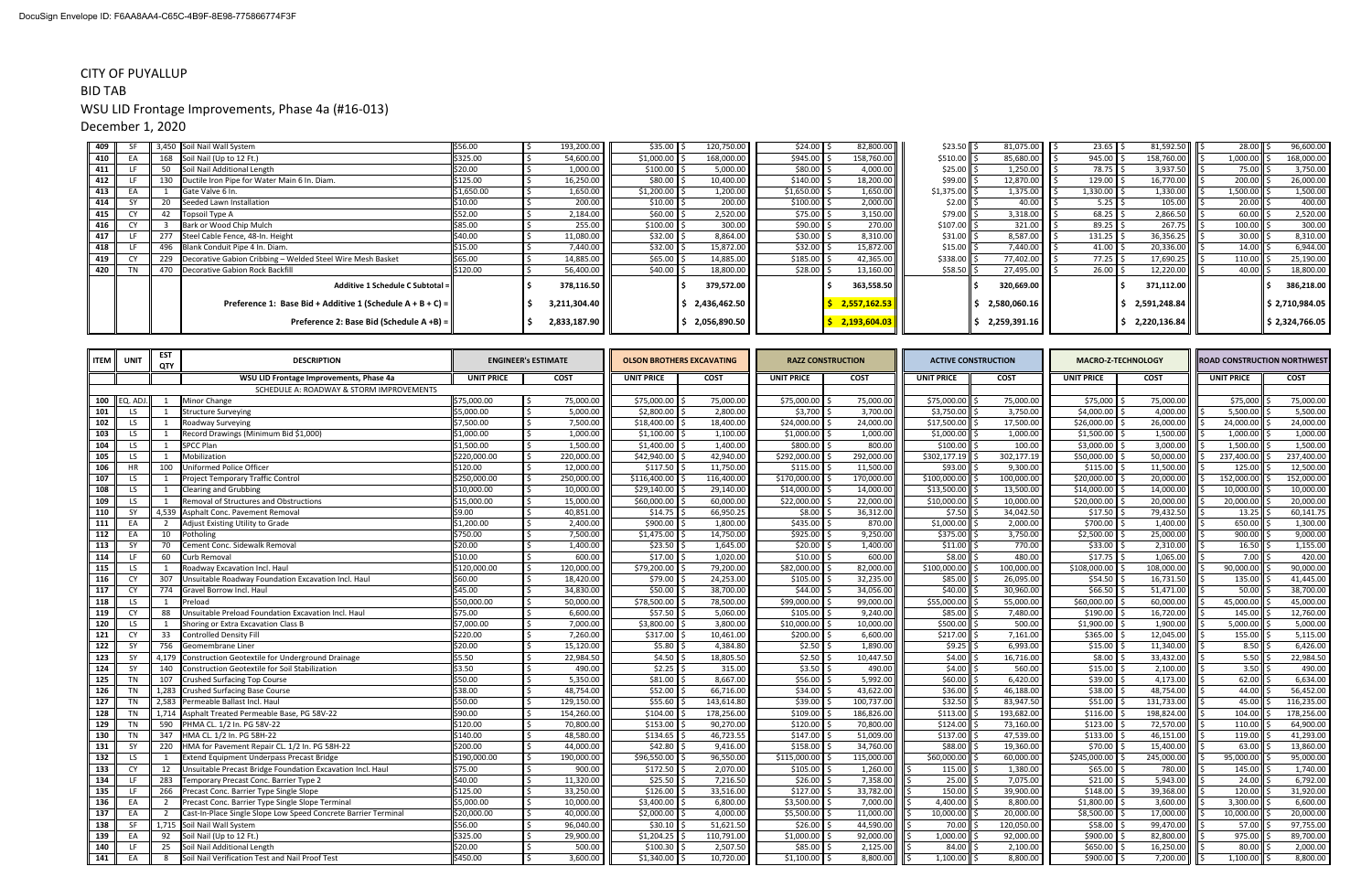#### CITY OF PUYALLUP

# BID TABWSU LID Frontage Improvements, Phase 4a (#16-013)

December 1, 2020

| 409   | <b>SE</b> |     | 3,450 Soil Nail Wall System                                     | \$56.00    | 193,200.00   | \$35.00    | 120,750.00               |        | $$24.00$ $$$   | 82,800.00    | \$23.50              | $81,075.00$ $\parallel$ | 23.65            | 81,592.50             | 28.00    | 96,600.00      |
|-------|-----------|-----|-----------------------------------------------------------------|------------|--------------|------------|--------------------------|--------|----------------|--------------|----------------------|-------------------------|------------------|-----------------------|----------|----------------|
| 410 l | EA        |     | 168 Soil Nail (Up to 12 Ft.)                                    | \$325.00   | 54,600.00    | \$1,000.00 | 168,000.00               |        | $$945.00$ \$   | 158,760.00   | $$510.00$ $ $        | 85,680.00               | 945.00           | 158,760.00       \$   | 1,000.00 | 168,000.00     |
| 411   |           |     | Soil Nail Additional Length                                     | \$20.00    | 1,000.00     | \$100.00   | 5,000.00                 |        | $$80.00$ \$    | 4,000.00     | $$25.00$ $ $ :       | 1,250.00                | 78.75            | 3,937.50              | 75.00    | 3,750.00       |
| 412   |           |     | 130 Ductile Iron Pipe for Water Main 6 In. Diam.                | \$125.00   | 16,250.00    | \$80.00    | 10,400.00                |        | $$140.00$ \$   | 18,200.00    | \$99.00              | 12,870.00               | 129.00           | 16,770.00             | 200.00   | 26,000.00      |
| 413   |           |     | Gate Valve 6 In.                                                | \$1,650.00 | 1,650.00     | \$1,200.00 | 1,200.00                 |        | $$1,650.00$ \$ | 1,650.00     | \$1,375.00           | 1,375.00                | 1,330.00         | 1,330.00              | 1,500.00 | 1,500.00       |
| 414   |           |     | Seeded Lawn Installation                                        | \$10.00    | 200.00       | $$10.00$ . |                          | 200.00 | $$100.00$ \$   | 2,000.00     | $$2.00$ $$$          | 40.00                   | $5.25$   :       | 105.00                | 20.00    | 400.00         |
| 415   |           |     | Topsoil Type A                                                  | \$52.00    | 2,184.00     | \$60.00    | 2,520.00                 |        | $$75.00$ $$$   | 3,150.00     | $$79.00$ $$$         | 3,318.00                | 68.25            | 2,866.50              | 60.00    | 2,520.00       |
| 416   | <b>CY</b> |     | Bark or Wood Chip Mulch                                         | \$85.00    | 255.00       | \$100.00   |                          | 300.00 | $$90.00$ \$    | 270.00       | $$107.00$ $\vert$ \$ | 321.00                  | 89.25            | 267.75                | 100.00   | 300.00         |
| 417   |           | 277 | Steel Cable Fence, 48-In. Height                                | \$40.00    | 11,080.00    | \$32.00    | 8,864.00                 |        | $$30.00$ \$    | 8,310.00     | $$31.00$ :           | 8,587.00                | 131.25           | 36,356.25             | 30.00    | 8,310.00       |
| 418   |           |     | 496 Blank Conduit Pipe 4 In. Diam.                              | \$15.00    | 7,440.00     | \$32.00    | 15,872.00                |        | $$32.00$ \$    | 15,872.00    | \$15.00              | 7,440.00                | 41.00            | $20,336.00$           | 14.00    | 6,944.00       |
| 419   |           |     | 229  Decorative Gabion Cribbing - Welded Steel Wire Mesh Basket | \$65.00    | 14,885.00    | \$65.00    | 14,885.00                |        | $$185.00$ \$   | 42,365.00    | \$338.00             | 77,402.00               | 77.25            | 17,690.25             | 110.00   | 25,190.00      |
| 420   |           |     | 470 Decorative Gabion Rock Backfill                             | \$120.00   | 56,400.00    | \$40.00    | 18,800.00                |        | $$28.00$ $$$   | 13,160.00    | \$58.50              | 27,495.00               | $26.00$ $\mid$ . | 12,220.00 $\parallel$ | 40.00    | 18,800.00      |
|       |           |     | Additive 1 Schedule C Subtotal =                                |            | 378,116.50   |            | 379,572.00               |        |                | 363,558.50   |                      | 320,669.00              |                  | 371,112.00            |          | 386,218.00     |
|       |           |     | Preference 1: Base Bid + Additive 1 (Schedule $A + B + C$ ) =   |            | 3,211,304.40 |            | 2,436,462.50             |        |                | 2,557,162.53 |                      | 2,580,060.16            |                  | 2,591,248.84          |          | \$2,710,984.05 |
|       |           |     | Preference 2: Base Bid (Schedule A +B) =                        |            | 2,833,187.90 |            | 2,056,890.50 $\parallel$ |        |                | 2,193,604.03 |                      | 2,259,391.16            |                  | 2,220,136.84          |          | \$2,324,766.05 |

| <b>UNIT PRICE</b><br><b>COST</b><br><b>UNIT PRICE</b><br><b>UNIT PRICE</b><br><b>COST</b><br><b>UNIT PRICE</b><br><b>COST</b><br><b>UNIT PRICE</b><br><b>COST</b><br><b>UNIT PRICE</b><br><b>COST</b><br>WSU LID Frontage Improvements, Phase 4a<br><b>COST</b><br>SCHEDULE A: ROADWAY & STORM IMPROVEMENTS<br>\$75,000.00<br>\$75,000.00<br>\$75,000.00<br>100 EQ. ADJ.<br>Minor Change<br>\$75,000.00<br>75,000.00<br>75,000.00<br>75,000.00<br>75,000.00<br>\$75,000<br>75,000.00<br>\$75,000<br>5,500.00<br>\$5,000.00<br>5.000.00<br>\$2.800.00<br>2.800.00<br>\$3,700<br>3,700.00<br>\$3,750.00<br>3,750.00<br>\$4,000.00<br>4,000.00<br>101<br><b>LS</b><br><b>Structure Surveying</b><br>\$7,500.00<br>7,500.00<br>\$18,400.00<br>\$24,000.00<br>24,000.00<br>\$17,500.00<br>\$26,000.00<br>26,000.00<br>24,000.00<br>102<br>LS<br>18,400.00<br>17,500.00<br>Roadway Surveying<br>\$1,000.00<br>\$1,000.00<br>$$1,000.00$ s<br>1,500.00<br>103<br>1,000.00<br>\$1,100.00<br>1,100.00<br>1,000.00<br>1,000.00<br>$$1,500.00$ \$<br>1,000.00<br>LS.<br>Record Drawings (Minimum Bid \$1,000)<br>\$800.00<br>\$100.00<br>3,000.00<br>1,500.00<br>104<br><b>SPCC Plan</b><br>\$1,500.00<br>1,500.00<br>\$1,400.00<br>1,400.00<br>800.00<br>100.00<br>\$3,000.00<br>LS<br>$\overline{1}$<br>Mobilization<br>\$220,000.00<br>220,000.00<br>\$42,940.00<br>42,940.00<br>\$292,000.00<br>292,000.00<br>\$302,177.19<br>302,177.19<br>\$50,000.00<br>50,000.00<br>237,400.00<br>105<br>LS<br><b>HR</b><br>100<br>Uniformed Police Officer<br>\$120.00<br>12,000.00<br>\$117.50<br>11,750.00<br>\$115.00<br>11,500.00<br>\$93.00<br>\$115.00<br>11,500.00<br>125.00<br>106<br>9,300.00<br>250,000.00<br>\$116,400.00<br>\$170,000.00<br>170,000.00<br>\$100,000.00<br>\$20,000.00<br>20,000.00<br>152,000.00<br>107<br><b>Project Temporary Traffic Control</b><br>\$250,000.00<br>116,400.00<br>100,000.00<br>LS.<br>10,000.00<br>\$29,140.00<br>\$14,000.00<br>\$13,500.00<br>14,000.00<br>\$10,000.00<br>29,140.00<br>14,000.00<br>13,500.00<br>\$14,000.00<br>10,000.00<br>108<br>LS<br><b>Clearing and Grubbing</b><br>\$22,000.00<br>22,000.00<br>$$10,000.00$ $\mid$ :<br>20,000.00<br>\$15,000.00<br>15,000.00<br>\$60,000.00<br>60,000.00<br>10,000.00<br>\$20,000.00<br>20,000.00<br>109<br><b>Removal of Structures and Obstructions</b><br>LS<br>1<br>\$9.00<br>40,851.00<br>66,950.25<br>$$7.50$ \$<br>\$17.50<br>79,432.50<br>110<br>4,539 Asphalt Conc. Pavement Removal<br>\$14.75<br>\$8.00<br>36,312.00<br>34,042.50<br>13.25<br>SY<br>\$1,200.00<br>\$900.00<br>\$435.00<br>870.00<br>$$1,000.00$ !<br>\$700.00<br>1,400.00<br>650.00<br>Adjust Existing Utility to Grade<br>2,400.00<br>1,800.00<br>2,000.00<br>111<br>EA<br>112<br>7,500.00<br>\$925.00<br>\$2,500.00<br>25,000.00<br>EA<br>10<br>Potholing<br>\$750.00<br>\$1,475.00<br>14,750.00<br>9,250.00<br>$$375.00$ $\vert$ :<br>3,750.00<br>900.00<br>\$23.50<br>\$20.00<br>\$33.00<br>113<br>Cement Conc. Sidewalk Removal<br>\$20.00<br>1,400.00<br>1,645.00<br>1,400.00<br>\$11.00<br>770.00<br>2,310.00<br>16.50<br>SY<br>70<br>\$8.00<br>1,065.00<br>114<br>60<br>\$10.00<br>600.00<br>\$17.00<br>1,020.00<br>\$10.00<br>600.00<br>480.00<br>\$17.75<br>7.00<br>LF<br>Curb Removal<br>\$82,000.00<br>82,000.00<br>\$108,000.00<br>108,000.00<br>115<br>LS<br>\$120,000.00<br>120,000.00<br>\$79,200.00<br>79,200.00<br>\$100,000.00<br>100,000.00<br>90,000.00<br>Roadway Excavation Incl. Haul<br>\$79.00<br>\$105.00<br>32,235.00<br>\$85.00<br>\$54.50<br>307<br>Unsuitable Roadway Foundation Excavation Incl. Haul<br>\$60.00<br>18,420.00<br>24,253.00<br>26,095.00<br>16,731.50<br>135.00<br>116<br>CY<br>117<br>\$50.00<br>38,700.00<br>\$44.00<br>34,056.00<br>$$40.00$ $ $ :<br>\$66.50<br>51,471.00<br>50.00<br><b>CY</b><br>774<br>\$45.00<br>34,830.00<br>30,960.00<br>Gravel Borrow Incl. Haul<br>\$78,500.00<br>\$50,000.00<br>50,000.00<br>78,500.00<br>\$99,000.00<br>99,000.00<br>\$55,000.00<br>55,000.00<br>\$60,000.00<br>60,000.00<br>45,000.00<br>118<br>Preload<br>LS<br>$\overline{1}$<br>\$75.00<br>119<br><b>CY</b><br>88<br>Unsuitable Preload Foundation Excavation Incl. Haul<br>6,600.00<br>\$57.50<br>5,060.00<br>\$105.00<br>9,240.00<br>$$85.00$ $ $ :<br>7,480.00<br>\$190.00<br>16,720.00<br>145.00<br>5,000.00<br>\$7,000.00<br>7,000.00<br>\$3,800.00<br>3,800.00<br>\$10,000.00<br>10,000.00<br>\$500.00<br>500.00<br>\$1,900.00<br>1,900.00<br>120<br>LS<br>Shoring or Extra Excavation Class B<br>\$220.00<br>\$200.00<br>\$217.00<br>\$365.00<br>12,045.00<br>121<br><b>CY</b><br>33<br>Controlled Density Fill<br>7,260.00<br>\$317.00<br>10,461.00<br>6,600.00<br>7,161.00<br>155.00<br>122<br>11,340.00<br>756<br>15,120.00<br>\$5.80<br>4.384.80<br>\$2.50<br>1,890.00<br>$$9.25$ $\mid$ 9<br>6,993.00<br>\$15.00<br>8.50<br>SY<br>Geomembrane Liner<br>\$20.00<br>\$5.50<br>\$4.50<br>\$8.00<br>33,432.00<br>5.50<br>123<br>SY<br>4,179<br>22,984.50<br>18,805.50<br>\$2.50<br>10,447.50<br>$$4.00$ $ $<br>16,716.00<br>Construction Geotextile for Underground Drainage<br>\$3.50<br>\$2.25<br>\$4.00<br>3.50<br>124<br>140<br>490.00<br>315.00<br>\$3.50<br>490.00<br>560.00<br>$$15.00$ \$<br>2,100.00<br>SY<br>Construction Geotextile for Soil Stabilization<br>8.667.00<br>5,350.00<br>\$81.00<br>\$56.00<br>5,992.00<br>$$60.00$ \$<br>$$39.00$ \$<br>4,173.00<br>62.00<br>125<br>Crushed Surfacing Top Course<br>\$50.00<br>6,420.00<br>TN<br>107<br>1,283<br>\$38.00<br>48,754.00<br>\$52.00<br>66,716.00<br>\$34.00<br>43,622.00<br>\$36.00<br>\$38.00<br>48,754.00<br>44.00<br>126<br><b>TN</b><br><b>Crushed Surfacing Base Course</b><br>46,188.00<br>127<br>2,583<br>\$55.60<br>\$39.00<br>100,737.00<br>\$32.50<br>\$51.00<br>131,733.00<br>45.00<br><b>TN</b><br>Permeable Ballast Incl. Haul<br>\$50.00<br>129,150.00<br>143,614.80<br>83,947.50<br>198,824.00<br>128<br>1,714<br>\$90.00<br>154,260.00<br>\$104.00<br>178,256.00<br>\$109.00<br>186,826.00<br>\$113.00<br>193,682.00<br>\$116.00<br>104.00<br><b>TN</b><br>Asphalt Treated Permeable Base, PG 58V-22<br>\$120.00<br>590<br>PHMA CL. 1/2 In. PG 58V-22<br>70,800.00<br>\$153.00<br>90,270.00<br>\$120.00<br>70,800.00<br>\$124.00<br>\$123.00<br>72,570.00<br>129<br>73,160.00<br>110.00<br>TN<br>\$140.00<br>48.580.00<br>\$134.65<br>46,723.55<br>\$147.00<br>51,009.00<br>\$137.00<br>\$133.00<br>46,151.00<br>119.00<br>130<br><b>TN</b><br>347<br>HMA CL. 1/2 In. PG 58H-22<br>47,539.00<br>\$42.80<br>220<br>\$200.00<br>44,000.00<br>9,416.00<br>\$158.00<br>34,760.00<br>\$88.00<br>\$70.00<br>15,400.00<br>63.00<br>131<br>SY<br>HMA for Pavement Repair CL. 1/2 In. PG 58H-22<br>19,360.00<br>132<br>190,000.00<br>\$96,550.00<br>96,550.00<br>\$115,000.00<br>\$60,000.00<br>\$245,000.00<br>245,000.00<br>\$190,000.00<br>115,000.00<br>60,000.00<br>95,000.00<br>LS<br>$\overline{1}$<br><b>Extend Equipment Underpass Precast Bridge</b><br>\$75.00<br>900.00<br>\$65.00<br>1,740.00<br>133<br>12<br>\$172.50<br>2,070.00<br>\$105.00<br>1,260.00<br>115.00<br>1,380.00<br>780.00<br>145.00<br><b>CY</b><br>Unsuitable Precast Bridge Foundation Excavation Incl. Haul<br>\$25.50<br>6,792.00<br>134<br>\$40.00<br>11,320.00<br>7,216.50<br>\$26.00<br>7,358.00<br>25.00<br>$$21.00$ \$<br>5,943.00<br>24.00<br>283<br>Temporary Precast Conc. Barrier Type 2<br>7,075.00<br>LF<br>\$127.00<br>33,782.00<br>39,368.00<br>135<br>266<br>\$125.00<br>33,250.00<br>\$126.00<br>33,516.00<br>$150.00$ \$<br>39,900.00<br>\$148.00<br>120.00<br>31,920.00<br>Precast Conc. Barrier Type Single Slope<br>LF.<br>\$5,000.00<br>\$3,500.00<br>7,000.00<br>4,400.00<br>10,000.00<br>\$3,400.00<br>6,800.00<br>8,800.00<br>\$1,800.00<br>3,600.00<br>3,300.00<br>136<br>EA<br>2<br>Precast Conc. Barrier Type Single Slope Terminal<br>\$5,500.00<br>11,000.00<br>\$8,500.00<br>17,000.00<br>10,000.00<br>20,000.00<br>137<br>EA<br>\$20,000.00<br>40,000.00<br>\$2,000.00<br>4,000.00<br>10,000.00<br>20,000.00<br>2<br>Cast-In-Place Single Slope Low Speed Concrete Barrier Terminal<br>\$56.00<br>\$26.00<br>138<br>96,040.00<br>\$30.10<br>51,621.50<br>44,590.00<br>70.00<br>120,050.00<br>\$58.00<br>99,470.00<br>57.00<br>97,755.00<br>SF<br>1,715 Soil Nail Wall System<br>\$325.00<br>92<br>\$1,204.25<br>110,791.00<br>\$1,000.00<br>92,000.00<br>$1,000.00$ $\vert$ :<br>\$900.00<br>82,800.00<br>975.00<br>89,700.00<br>139<br>EA<br>Soil Nail (Up to 12 Ft.)<br>29,900.00<br>92,000.00<br>\$85.00<br>2,125.00<br>\$650.00<br>140<br>\$20.00<br>500.00<br>\$100.30<br>2,507.50<br>$84.00$ $\mid$ \$<br>2,100.00<br>16,250.00<br>80.00<br>25<br>Soil Nail Additional Length<br>LF<br>3,600.00<br>\$1,340.00<br>8,800.00<br>8,800.00<br>$$900.00$ \$<br>7,200.00<br>EA<br>Soil Nail Verification Test and Nail Proof Test<br>\$450.00<br>10,720.00<br>\$1,100.00<br>$1,100.00$ \$<br>1,100.00<br>141<br>8 | <b>ITEM</b> | UNIT | <b>EST</b><br><b>QTY</b> | <b>DESCRIPTION</b> | <b>ENGINEER's ESTIMATE</b> | <b>OLSON BROTHERS EXCAVATING</b> | <b>RAZZ CONSTRUCTION</b> |  | <b>ACTIVE CONSTRUCTION</b> | MACRO-Z-TECHNOLOGY | <b>ROAD CONSTRUCTION NORTHWEST</b> |            |
|-------------------------------------------------------------------------------------------------------------------------------------------------------------------------------------------------------------------------------------------------------------------------------------------------------------------------------------------------------------------------------------------------------------------------------------------------------------------------------------------------------------------------------------------------------------------------------------------------------------------------------------------------------------------------------------------------------------------------------------------------------------------------------------------------------------------------------------------------------------------------------------------------------------------------------------------------------------------------------------------------------------------------------------------------------------------------------------------------------------------------------------------------------------------------------------------------------------------------------------------------------------------------------------------------------------------------------------------------------------------------------------------------------------------------------------------------------------------------------------------------------------------------------------------------------------------------------------------------------------------------------------------------------------------------------------------------------------------------------------------------------------------------------------------------------------------------------------------------------------------------------------------------------------------------------------------------------------------------------------------------------------------------------------------------------------------------------------------------------------------------------------------------------------------------------------------------------------------------------------------------------------------------------------------------------------------------------------------------------------------------------------------------------------------------------------------------------------------------------------------------------------------------------------------------------------------------------------------------------------------------------------------------------------------------------------------------------------------------------------------------------------------------------------------------------------------------------------------------------------------------------------------------------------------------------------------------------------------------------------------------------------------------------------------------------------------------------------------------------------------------------------------------------------------------------------------------------------------------------------------------------------------------------------------------------------------------------------------------------------------------------------------------------------------------------------------------------------------------------------------------------------------------------------------------------------------------------------------------------------------------------------------------------------------------------------------------------------------------------------------------------------------------------------------------------------------------------------------------------------------------------------------------------------------------------------------------------------------------------------------------------------------------------------------------------------------------------------------------------------------------------------------------------------------------------------------------------------------------------------------------------------------------------------------------------------------------------------------------------------------------------------------------------------------------------------------------------------------------------------------------------------------------------------------------------------------------------------------------------------------------------------------------------------------------------------------------------------------------------------------------------------------------------------------------------------------------------------------------------------------------------------------------------------------------------------------------------------------------------------------------------------------------------------------------------------------------------------------------------------------------------------------------------------------------------------------------------------------------------------------------------------------------------------------------------------------------------------------------------------------------------------------------------------------------------------------------------------------------------------------------------------------------------------------------------------------------------------------------------------------------------------------------------------------------------------------------------------------------------------------------------------------------------------------------------------------------------------------------------------------------------------------------------------------------------------------------------------------------------------------------------------------------------------------------------------------------------------------------------------------------------------------------------------------------------------------------------------------------------------------------------------------------------------------------------------------------------------------------------------------------------------------------------------------------------------------------------------------------------------------------------------------------------------------------------------------------------------------------------------------------------------------------------------------------------------------------------------------------------------------------------------------------------------------------------------------------------------------------------------------------------------------------------------------------------------------------------------------------------------------------------------------------------------------------------------------------------------------------------------------------------------------------------------------------------------------------------------------------------------------------------------------------------------------------------------------------------------------------------------------------------------------------------------------------------------------------------------------------------------------------------------------------------------------------------------------------------------------------------------------------------------------------------------------------------------------------------------------------------------------------------------------------------------------------------------------------------------------------------------------------------------------------------------------------------------------------------------------------------------------------------------------------------------------------------------------------------------------------------------------------------------------------------------------------------------------------------------------------------------------------------------------------------------------------------------------------------------------------------------------------------------------------------------------------------------------------------------------------------------------------------------------------------------------------------------------------------------------------------------------------------------------------------------------------------------------------------------------------------------------------------------------------------------------------------------------------------------------------------------------------------------------------------------------------------------------|-------------|------|--------------------------|--------------------|----------------------------|----------------------------------|--------------------------|--|----------------------------|--------------------|------------------------------------|------------|
|                                                                                                                                                                                                                                                                                                                                                                                                                                                                                                                                                                                                                                                                                                                                                                                                                                                                                                                                                                                                                                                                                                                                                                                                                                                                                                                                                                                                                                                                                                                                                                                                                                                                                                                                                                                                                                                                                                                                                                                                                                                                                                                                                                                                                                                                                                                                                                                                                                                                                                                                                                                                                                                                                                                                                                                                                                                                                                                                                                                                                                                                                                                                                                                                                                                                                                                                                                                                                                                                                                                                                                                                                                                                                                                                                                                                                                                                                                                                                                                                                                                                                                                                                                                                                                                                                                                                                                                                                                                                                                                                                                                                                                                                                                                                                                                                                                                                                                                                                                                                                                                                                                                                                                                                                                                                                                                                                                                                                                                                                                                                                                                                                                                                                                                                                                                                                                                                                                                                                                                                                                                                                                                                                                                                                                                                                                                                                                                                                                                                                                                                                                                                                                                                                                                                                                                                                                                                                                                                                                                                                                                                                                                                                                                                                                                                                                                                                                                                                                                                                                                                                                                                                                                                                                                                                                                                                                                                                                                                                                                                                                                                                                                                                                                                                                                                                                                                                                                                                                                                                                                                                                                                                                                                                                                                                                                                                                                                                                                                           |             |      |                          |                    |                            |                                  |                          |  |                            |                    |                                    |            |
|                                                                                                                                                                                                                                                                                                                                                                                                                                                                                                                                                                                                                                                                                                                                                                                                                                                                                                                                                                                                                                                                                                                                                                                                                                                                                                                                                                                                                                                                                                                                                                                                                                                                                                                                                                                                                                                                                                                                                                                                                                                                                                                                                                                                                                                                                                                                                                                                                                                                                                                                                                                                                                                                                                                                                                                                                                                                                                                                                                                                                                                                                                                                                                                                                                                                                                                                                                                                                                                                                                                                                                                                                                                                                                                                                                                                                                                                                                                                                                                                                                                                                                                                                                                                                                                                                                                                                                                                                                                                                                                                                                                                                                                                                                                                                                                                                                                                                                                                                                                                                                                                                                                                                                                                                                                                                                                                                                                                                                                                                                                                                                                                                                                                                                                                                                                                                                                                                                                                                                                                                                                                                                                                                                                                                                                                                                                                                                                                                                                                                                                                                                                                                                                                                                                                                                                                                                                                                                                                                                                                                                                                                                                                                                                                                                                                                                                                                                                                                                                                                                                                                                                                                                                                                                                                                                                                                                                                                                                                                                                                                                                                                                                                                                                                                                                                                                                                                                                                                                                                                                                                                                                                                                                                                                                                                                                                                                                                                                                                           |             |      |                          |                    |                            |                                  |                          |  |                            |                    |                                    |            |
|                                                                                                                                                                                                                                                                                                                                                                                                                                                                                                                                                                                                                                                                                                                                                                                                                                                                                                                                                                                                                                                                                                                                                                                                                                                                                                                                                                                                                                                                                                                                                                                                                                                                                                                                                                                                                                                                                                                                                                                                                                                                                                                                                                                                                                                                                                                                                                                                                                                                                                                                                                                                                                                                                                                                                                                                                                                                                                                                                                                                                                                                                                                                                                                                                                                                                                                                                                                                                                                                                                                                                                                                                                                                                                                                                                                                                                                                                                                                                                                                                                                                                                                                                                                                                                                                                                                                                                                                                                                                                                                                                                                                                                                                                                                                                                                                                                                                                                                                                                                                                                                                                                                                                                                                                                                                                                                                                                                                                                                                                                                                                                                                                                                                                                                                                                                                                                                                                                                                                                                                                                                                                                                                                                                                                                                                                                                                                                                                                                                                                                                                                                                                                                                                                                                                                                                                                                                                                                                                                                                                                                                                                                                                                                                                                                                                                                                                                                                                                                                                                                                                                                                                                                                                                                                                                                                                                                                                                                                                                                                                                                                                                                                                                                                                                                                                                                                                                                                                                                                                                                                                                                                                                                                                                                                                                                                                                                                                                                                                           |             |      |                          |                    |                            |                                  |                          |  |                            |                    |                                    | 75,000.00  |
|                                                                                                                                                                                                                                                                                                                                                                                                                                                                                                                                                                                                                                                                                                                                                                                                                                                                                                                                                                                                                                                                                                                                                                                                                                                                                                                                                                                                                                                                                                                                                                                                                                                                                                                                                                                                                                                                                                                                                                                                                                                                                                                                                                                                                                                                                                                                                                                                                                                                                                                                                                                                                                                                                                                                                                                                                                                                                                                                                                                                                                                                                                                                                                                                                                                                                                                                                                                                                                                                                                                                                                                                                                                                                                                                                                                                                                                                                                                                                                                                                                                                                                                                                                                                                                                                                                                                                                                                                                                                                                                                                                                                                                                                                                                                                                                                                                                                                                                                                                                                                                                                                                                                                                                                                                                                                                                                                                                                                                                                                                                                                                                                                                                                                                                                                                                                                                                                                                                                                                                                                                                                                                                                                                                                                                                                                                                                                                                                                                                                                                                                                                                                                                                                                                                                                                                                                                                                                                                                                                                                                                                                                                                                                                                                                                                                                                                                                                                                                                                                                                                                                                                                                                                                                                                                                                                                                                                                                                                                                                                                                                                                                                                                                                                                                                                                                                                                                                                                                                                                                                                                                                                                                                                                                                                                                                                                                                                                                                                                           |             |      |                          |                    |                            |                                  |                          |  |                            |                    |                                    | 5,500.00   |
|                                                                                                                                                                                                                                                                                                                                                                                                                                                                                                                                                                                                                                                                                                                                                                                                                                                                                                                                                                                                                                                                                                                                                                                                                                                                                                                                                                                                                                                                                                                                                                                                                                                                                                                                                                                                                                                                                                                                                                                                                                                                                                                                                                                                                                                                                                                                                                                                                                                                                                                                                                                                                                                                                                                                                                                                                                                                                                                                                                                                                                                                                                                                                                                                                                                                                                                                                                                                                                                                                                                                                                                                                                                                                                                                                                                                                                                                                                                                                                                                                                                                                                                                                                                                                                                                                                                                                                                                                                                                                                                                                                                                                                                                                                                                                                                                                                                                                                                                                                                                                                                                                                                                                                                                                                                                                                                                                                                                                                                                                                                                                                                                                                                                                                                                                                                                                                                                                                                                                                                                                                                                                                                                                                                                                                                                                                                                                                                                                                                                                                                                                                                                                                                                                                                                                                                                                                                                                                                                                                                                                                                                                                                                                                                                                                                                                                                                                                                                                                                                                                                                                                                                                                                                                                                                                                                                                                                                                                                                                                                                                                                                                                                                                                                                                                                                                                                                                                                                                                                                                                                                                                                                                                                                                                                                                                                                                                                                                                                                           |             |      |                          |                    |                            |                                  |                          |  |                            |                    |                                    | 24,000.00  |
|                                                                                                                                                                                                                                                                                                                                                                                                                                                                                                                                                                                                                                                                                                                                                                                                                                                                                                                                                                                                                                                                                                                                                                                                                                                                                                                                                                                                                                                                                                                                                                                                                                                                                                                                                                                                                                                                                                                                                                                                                                                                                                                                                                                                                                                                                                                                                                                                                                                                                                                                                                                                                                                                                                                                                                                                                                                                                                                                                                                                                                                                                                                                                                                                                                                                                                                                                                                                                                                                                                                                                                                                                                                                                                                                                                                                                                                                                                                                                                                                                                                                                                                                                                                                                                                                                                                                                                                                                                                                                                                                                                                                                                                                                                                                                                                                                                                                                                                                                                                                                                                                                                                                                                                                                                                                                                                                                                                                                                                                                                                                                                                                                                                                                                                                                                                                                                                                                                                                                                                                                                                                                                                                                                                                                                                                                                                                                                                                                                                                                                                                                                                                                                                                                                                                                                                                                                                                                                                                                                                                                                                                                                                                                                                                                                                                                                                                                                                                                                                                                                                                                                                                                                                                                                                                                                                                                                                                                                                                                                                                                                                                                                                                                                                                                                                                                                                                                                                                                                                                                                                                                                                                                                                                                                                                                                                                                                                                                                                                           |             |      |                          |                    |                            |                                  |                          |  |                            |                    |                                    | 1,000.00   |
|                                                                                                                                                                                                                                                                                                                                                                                                                                                                                                                                                                                                                                                                                                                                                                                                                                                                                                                                                                                                                                                                                                                                                                                                                                                                                                                                                                                                                                                                                                                                                                                                                                                                                                                                                                                                                                                                                                                                                                                                                                                                                                                                                                                                                                                                                                                                                                                                                                                                                                                                                                                                                                                                                                                                                                                                                                                                                                                                                                                                                                                                                                                                                                                                                                                                                                                                                                                                                                                                                                                                                                                                                                                                                                                                                                                                                                                                                                                                                                                                                                                                                                                                                                                                                                                                                                                                                                                                                                                                                                                                                                                                                                                                                                                                                                                                                                                                                                                                                                                                                                                                                                                                                                                                                                                                                                                                                                                                                                                                                                                                                                                                                                                                                                                                                                                                                                                                                                                                                                                                                                                                                                                                                                                                                                                                                                                                                                                                                                                                                                                                                                                                                                                                                                                                                                                                                                                                                                                                                                                                                                                                                                                                                                                                                                                                                                                                                                                                                                                                                                                                                                                                                                                                                                                                                                                                                                                                                                                                                                                                                                                                                                                                                                                                                                                                                                                                                                                                                                                                                                                                                                                                                                                                                                                                                                                                                                                                                                                                           |             |      |                          |                    |                            |                                  |                          |  |                            |                    |                                    | 1,500.00   |
|                                                                                                                                                                                                                                                                                                                                                                                                                                                                                                                                                                                                                                                                                                                                                                                                                                                                                                                                                                                                                                                                                                                                                                                                                                                                                                                                                                                                                                                                                                                                                                                                                                                                                                                                                                                                                                                                                                                                                                                                                                                                                                                                                                                                                                                                                                                                                                                                                                                                                                                                                                                                                                                                                                                                                                                                                                                                                                                                                                                                                                                                                                                                                                                                                                                                                                                                                                                                                                                                                                                                                                                                                                                                                                                                                                                                                                                                                                                                                                                                                                                                                                                                                                                                                                                                                                                                                                                                                                                                                                                                                                                                                                                                                                                                                                                                                                                                                                                                                                                                                                                                                                                                                                                                                                                                                                                                                                                                                                                                                                                                                                                                                                                                                                                                                                                                                                                                                                                                                                                                                                                                                                                                                                                                                                                                                                                                                                                                                                                                                                                                                                                                                                                                                                                                                                                                                                                                                                                                                                                                                                                                                                                                                                                                                                                                                                                                                                                                                                                                                                                                                                                                                                                                                                                                                                                                                                                                                                                                                                                                                                                                                                                                                                                                                                                                                                                                                                                                                                                                                                                                                                                                                                                                                                                                                                                                                                                                                                                                           |             |      |                          |                    |                            |                                  |                          |  |                            |                    |                                    | 237,400.00 |
|                                                                                                                                                                                                                                                                                                                                                                                                                                                                                                                                                                                                                                                                                                                                                                                                                                                                                                                                                                                                                                                                                                                                                                                                                                                                                                                                                                                                                                                                                                                                                                                                                                                                                                                                                                                                                                                                                                                                                                                                                                                                                                                                                                                                                                                                                                                                                                                                                                                                                                                                                                                                                                                                                                                                                                                                                                                                                                                                                                                                                                                                                                                                                                                                                                                                                                                                                                                                                                                                                                                                                                                                                                                                                                                                                                                                                                                                                                                                                                                                                                                                                                                                                                                                                                                                                                                                                                                                                                                                                                                                                                                                                                                                                                                                                                                                                                                                                                                                                                                                                                                                                                                                                                                                                                                                                                                                                                                                                                                                                                                                                                                                                                                                                                                                                                                                                                                                                                                                                                                                                                                                                                                                                                                                                                                                                                                                                                                                                                                                                                                                                                                                                                                                                                                                                                                                                                                                                                                                                                                                                                                                                                                                                                                                                                                                                                                                                                                                                                                                                                                                                                                                                                                                                                                                                                                                                                                                                                                                                                                                                                                                                                                                                                                                                                                                                                                                                                                                                                                                                                                                                                                                                                                                                                                                                                                                                                                                                                                                           |             |      |                          |                    |                            |                                  |                          |  |                            |                    |                                    | 12,500.00  |
|                                                                                                                                                                                                                                                                                                                                                                                                                                                                                                                                                                                                                                                                                                                                                                                                                                                                                                                                                                                                                                                                                                                                                                                                                                                                                                                                                                                                                                                                                                                                                                                                                                                                                                                                                                                                                                                                                                                                                                                                                                                                                                                                                                                                                                                                                                                                                                                                                                                                                                                                                                                                                                                                                                                                                                                                                                                                                                                                                                                                                                                                                                                                                                                                                                                                                                                                                                                                                                                                                                                                                                                                                                                                                                                                                                                                                                                                                                                                                                                                                                                                                                                                                                                                                                                                                                                                                                                                                                                                                                                                                                                                                                                                                                                                                                                                                                                                                                                                                                                                                                                                                                                                                                                                                                                                                                                                                                                                                                                                                                                                                                                                                                                                                                                                                                                                                                                                                                                                                                                                                                                                                                                                                                                                                                                                                                                                                                                                                                                                                                                                                                                                                                                                                                                                                                                                                                                                                                                                                                                                                                                                                                                                                                                                                                                                                                                                                                                                                                                                                                                                                                                                                                                                                                                                                                                                                                                                                                                                                                                                                                                                                                                                                                                                                                                                                                                                                                                                                                                                                                                                                                                                                                                                                                                                                                                                                                                                                                                                           |             |      |                          |                    |                            |                                  |                          |  |                            |                    |                                    | 152,000.00 |
|                                                                                                                                                                                                                                                                                                                                                                                                                                                                                                                                                                                                                                                                                                                                                                                                                                                                                                                                                                                                                                                                                                                                                                                                                                                                                                                                                                                                                                                                                                                                                                                                                                                                                                                                                                                                                                                                                                                                                                                                                                                                                                                                                                                                                                                                                                                                                                                                                                                                                                                                                                                                                                                                                                                                                                                                                                                                                                                                                                                                                                                                                                                                                                                                                                                                                                                                                                                                                                                                                                                                                                                                                                                                                                                                                                                                                                                                                                                                                                                                                                                                                                                                                                                                                                                                                                                                                                                                                                                                                                                                                                                                                                                                                                                                                                                                                                                                                                                                                                                                                                                                                                                                                                                                                                                                                                                                                                                                                                                                                                                                                                                                                                                                                                                                                                                                                                                                                                                                                                                                                                                                                                                                                                                                                                                                                                                                                                                                                                                                                                                                                                                                                                                                                                                                                                                                                                                                                                                                                                                                                                                                                                                                                                                                                                                                                                                                                                                                                                                                                                                                                                                                                                                                                                                                                                                                                                                                                                                                                                                                                                                                                                                                                                                                                                                                                                                                                                                                                                                                                                                                                                                                                                                                                                                                                                                                                                                                                                                                           |             |      |                          |                    |                            |                                  |                          |  |                            |                    |                                    | 10,000.00  |
|                                                                                                                                                                                                                                                                                                                                                                                                                                                                                                                                                                                                                                                                                                                                                                                                                                                                                                                                                                                                                                                                                                                                                                                                                                                                                                                                                                                                                                                                                                                                                                                                                                                                                                                                                                                                                                                                                                                                                                                                                                                                                                                                                                                                                                                                                                                                                                                                                                                                                                                                                                                                                                                                                                                                                                                                                                                                                                                                                                                                                                                                                                                                                                                                                                                                                                                                                                                                                                                                                                                                                                                                                                                                                                                                                                                                                                                                                                                                                                                                                                                                                                                                                                                                                                                                                                                                                                                                                                                                                                                                                                                                                                                                                                                                                                                                                                                                                                                                                                                                                                                                                                                                                                                                                                                                                                                                                                                                                                                                                                                                                                                                                                                                                                                                                                                                                                                                                                                                                                                                                                                                                                                                                                                                                                                                                                                                                                                                                                                                                                                                                                                                                                                                                                                                                                                                                                                                                                                                                                                                                                                                                                                                                                                                                                                                                                                                                                                                                                                                                                                                                                                                                                                                                                                                                                                                                                                                                                                                                                                                                                                                                                                                                                                                                                                                                                                                                                                                                                                                                                                                                                                                                                                                                                                                                                                                                                                                                                                                           |             |      |                          |                    |                            |                                  |                          |  |                            |                    |                                    | 20,000.00  |
|                                                                                                                                                                                                                                                                                                                                                                                                                                                                                                                                                                                                                                                                                                                                                                                                                                                                                                                                                                                                                                                                                                                                                                                                                                                                                                                                                                                                                                                                                                                                                                                                                                                                                                                                                                                                                                                                                                                                                                                                                                                                                                                                                                                                                                                                                                                                                                                                                                                                                                                                                                                                                                                                                                                                                                                                                                                                                                                                                                                                                                                                                                                                                                                                                                                                                                                                                                                                                                                                                                                                                                                                                                                                                                                                                                                                                                                                                                                                                                                                                                                                                                                                                                                                                                                                                                                                                                                                                                                                                                                                                                                                                                                                                                                                                                                                                                                                                                                                                                                                                                                                                                                                                                                                                                                                                                                                                                                                                                                                                                                                                                                                                                                                                                                                                                                                                                                                                                                                                                                                                                                                                                                                                                                                                                                                                                                                                                                                                                                                                                                                                                                                                                                                                                                                                                                                                                                                                                                                                                                                                                                                                                                                                                                                                                                                                                                                                                                                                                                                                                                                                                                                                                                                                                                                                                                                                                                                                                                                                                                                                                                                                                                                                                                                                                                                                                                                                                                                                                                                                                                                                                                                                                                                                                                                                                                                                                                                                                                                           |             |      |                          |                    |                            |                                  |                          |  |                            |                    |                                    | 60,141.75  |
|                                                                                                                                                                                                                                                                                                                                                                                                                                                                                                                                                                                                                                                                                                                                                                                                                                                                                                                                                                                                                                                                                                                                                                                                                                                                                                                                                                                                                                                                                                                                                                                                                                                                                                                                                                                                                                                                                                                                                                                                                                                                                                                                                                                                                                                                                                                                                                                                                                                                                                                                                                                                                                                                                                                                                                                                                                                                                                                                                                                                                                                                                                                                                                                                                                                                                                                                                                                                                                                                                                                                                                                                                                                                                                                                                                                                                                                                                                                                                                                                                                                                                                                                                                                                                                                                                                                                                                                                                                                                                                                                                                                                                                                                                                                                                                                                                                                                                                                                                                                                                                                                                                                                                                                                                                                                                                                                                                                                                                                                                                                                                                                                                                                                                                                                                                                                                                                                                                                                                                                                                                                                                                                                                                                                                                                                                                                                                                                                                                                                                                                                                                                                                                                                                                                                                                                                                                                                                                                                                                                                                                                                                                                                                                                                                                                                                                                                                                                                                                                                                                                                                                                                                                                                                                                                                                                                                                                                                                                                                                                                                                                                                                                                                                                                                                                                                                                                                                                                                                                                                                                                                                                                                                                                                                                                                                                                                                                                                                                                           |             |      |                          |                    |                            |                                  |                          |  |                            |                    |                                    | 1,300.00   |
|                                                                                                                                                                                                                                                                                                                                                                                                                                                                                                                                                                                                                                                                                                                                                                                                                                                                                                                                                                                                                                                                                                                                                                                                                                                                                                                                                                                                                                                                                                                                                                                                                                                                                                                                                                                                                                                                                                                                                                                                                                                                                                                                                                                                                                                                                                                                                                                                                                                                                                                                                                                                                                                                                                                                                                                                                                                                                                                                                                                                                                                                                                                                                                                                                                                                                                                                                                                                                                                                                                                                                                                                                                                                                                                                                                                                                                                                                                                                                                                                                                                                                                                                                                                                                                                                                                                                                                                                                                                                                                                                                                                                                                                                                                                                                                                                                                                                                                                                                                                                                                                                                                                                                                                                                                                                                                                                                                                                                                                                                                                                                                                                                                                                                                                                                                                                                                                                                                                                                                                                                                                                                                                                                                                                                                                                                                                                                                                                                                                                                                                                                                                                                                                                                                                                                                                                                                                                                                                                                                                                                                                                                                                                                                                                                                                                                                                                                                                                                                                                                                                                                                                                                                                                                                                                                                                                                                                                                                                                                                                                                                                                                                                                                                                                                                                                                                                                                                                                                                                                                                                                                                                                                                                                                                                                                                                                                                                                                                                                           |             |      |                          |                    |                            |                                  |                          |  |                            |                    |                                    | 9,000.00   |
|                                                                                                                                                                                                                                                                                                                                                                                                                                                                                                                                                                                                                                                                                                                                                                                                                                                                                                                                                                                                                                                                                                                                                                                                                                                                                                                                                                                                                                                                                                                                                                                                                                                                                                                                                                                                                                                                                                                                                                                                                                                                                                                                                                                                                                                                                                                                                                                                                                                                                                                                                                                                                                                                                                                                                                                                                                                                                                                                                                                                                                                                                                                                                                                                                                                                                                                                                                                                                                                                                                                                                                                                                                                                                                                                                                                                                                                                                                                                                                                                                                                                                                                                                                                                                                                                                                                                                                                                                                                                                                                                                                                                                                                                                                                                                                                                                                                                                                                                                                                                                                                                                                                                                                                                                                                                                                                                                                                                                                                                                                                                                                                                                                                                                                                                                                                                                                                                                                                                                                                                                                                                                                                                                                                                                                                                                                                                                                                                                                                                                                                                                                                                                                                                                                                                                                                                                                                                                                                                                                                                                                                                                                                                                                                                                                                                                                                                                                                                                                                                                                                                                                                                                                                                                                                                                                                                                                                                                                                                                                                                                                                                                                                                                                                                                                                                                                                                                                                                                                                                                                                                                                                                                                                                                                                                                                                                                                                                                                                                           |             |      |                          |                    |                            |                                  |                          |  |                            |                    |                                    | 1,155.00   |
|                                                                                                                                                                                                                                                                                                                                                                                                                                                                                                                                                                                                                                                                                                                                                                                                                                                                                                                                                                                                                                                                                                                                                                                                                                                                                                                                                                                                                                                                                                                                                                                                                                                                                                                                                                                                                                                                                                                                                                                                                                                                                                                                                                                                                                                                                                                                                                                                                                                                                                                                                                                                                                                                                                                                                                                                                                                                                                                                                                                                                                                                                                                                                                                                                                                                                                                                                                                                                                                                                                                                                                                                                                                                                                                                                                                                                                                                                                                                                                                                                                                                                                                                                                                                                                                                                                                                                                                                                                                                                                                                                                                                                                                                                                                                                                                                                                                                                                                                                                                                                                                                                                                                                                                                                                                                                                                                                                                                                                                                                                                                                                                                                                                                                                                                                                                                                                                                                                                                                                                                                                                                                                                                                                                                                                                                                                                                                                                                                                                                                                                                                                                                                                                                                                                                                                                                                                                                                                                                                                                                                                                                                                                                                                                                                                                                                                                                                                                                                                                                                                                                                                                                                                                                                                                                                                                                                                                                                                                                                                                                                                                                                                                                                                                                                                                                                                                                                                                                                                                                                                                                                                                                                                                                                                                                                                                                                                                                                                                                           |             |      |                          |                    |                            |                                  |                          |  |                            |                    |                                    | 420.00     |
|                                                                                                                                                                                                                                                                                                                                                                                                                                                                                                                                                                                                                                                                                                                                                                                                                                                                                                                                                                                                                                                                                                                                                                                                                                                                                                                                                                                                                                                                                                                                                                                                                                                                                                                                                                                                                                                                                                                                                                                                                                                                                                                                                                                                                                                                                                                                                                                                                                                                                                                                                                                                                                                                                                                                                                                                                                                                                                                                                                                                                                                                                                                                                                                                                                                                                                                                                                                                                                                                                                                                                                                                                                                                                                                                                                                                                                                                                                                                                                                                                                                                                                                                                                                                                                                                                                                                                                                                                                                                                                                                                                                                                                                                                                                                                                                                                                                                                                                                                                                                                                                                                                                                                                                                                                                                                                                                                                                                                                                                                                                                                                                                                                                                                                                                                                                                                                                                                                                                                                                                                                                                                                                                                                                                                                                                                                                                                                                                                                                                                                                                                                                                                                                                                                                                                                                                                                                                                                                                                                                                                                                                                                                                                                                                                                                                                                                                                                                                                                                                                                                                                                                                                                                                                                                                                                                                                                                                                                                                                                                                                                                                                                                                                                                                                                                                                                                                                                                                                                                                                                                                                                                                                                                                                                                                                                                                                                                                                                                                           |             |      |                          |                    |                            |                                  |                          |  |                            |                    |                                    | 90,000.00  |
|                                                                                                                                                                                                                                                                                                                                                                                                                                                                                                                                                                                                                                                                                                                                                                                                                                                                                                                                                                                                                                                                                                                                                                                                                                                                                                                                                                                                                                                                                                                                                                                                                                                                                                                                                                                                                                                                                                                                                                                                                                                                                                                                                                                                                                                                                                                                                                                                                                                                                                                                                                                                                                                                                                                                                                                                                                                                                                                                                                                                                                                                                                                                                                                                                                                                                                                                                                                                                                                                                                                                                                                                                                                                                                                                                                                                                                                                                                                                                                                                                                                                                                                                                                                                                                                                                                                                                                                                                                                                                                                                                                                                                                                                                                                                                                                                                                                                                                                                                                                                                                                                                                                                                                                                                                                                                                                                                                                                                                                                                                                                                                                                                                                                                                                                                                                                                                                                                                                                                                                                                                                                                                                                                                                                                                                                                                                                                                                                                                                                                                                                                                                                                                                                                                                                                                                                                                                                                                                                                                                                                                                                                                                                                                                                                                                                                                                                                                                                                                                                                                                                                                                                                                                                                                                                                                                                                                                                                                                                                                                                                                                                                                                                                                                                                                                                                                                                                                                                                                                                                                                                                                                                                                                                                                                                                                                                                                                                                                                                           |             |      |                          |                    |                            |                                  |                          |  |                            |                    |                                    | 41,445.00  |
|                                                                                                                                                                                                                                                                                                                                                                                                                                                                                                                                                                                                                                                                                                                                                                                                                                                                                                                                                                                                                                                                                                                                                                                                                                                                                                                                                                                                                                                                                                                                                                                                                                                                                                                                                                                                                                                                                                                                                                                                                                                                                                                                                                                                                                                                                                                                                                                                                                                                                                                                                                                                                                                                                                                                                                                                                                                                                                                                                                                                                                                                                                                                                                                                                                                                                                                                                                                                                                                                                                                                                                                                                                                                                                                                                                                                                                                                                                                                                                                                                                                                                                                                                                                                                                                                                                                                                                                                                                                                                                                                                                                                                                                                                                                                                                                                                                                                                                                                                                                                                                                                                                                                                                                                                                                                                                                                                                                                                                                                                                                                                                                                                                                                                                                                                                                                                                                                                                                                                                                                                                                                                                                                                                                                                                                                                                                                                                                                                                                                                                                                                                                                                                                                                                                                                                                                                                                                                                                                                                                                                                                                                                                                                                                                                                                                                                                                                                                                                                                                                                                                                                                                                                                                                                                                                                                                                                                                                                                                                                                                                                                                                                                                                                                                                                                                                                                                                                                                                                                                                                                                                                                                                                                                                                                                                                                                                                                                                                                                           |             |      |                          |                    |                            |                                  |                          |  |                            |                    |                                    | 38,700.00  |
|                                                                                                                                                                                                                                                                                                                                                                                                                                                                                                                                                                                                                                                                                                                                                                                                                                                                                                                                                                                                                                                                                                                                                                                                                                                                                                                                                                                                                                                                                                                                                                                                                                                                                                                                                                                                                                                                                                                                                                                                                                                                                                                                                                                                                                                                                                                                                                                                                                                                                                                                                                                                                                                                                                                                                                                                                                                                                                                                                                                                                                                                                                                                                                                                                                                                                                                                                                                                                                                                                                                                                                                                                                                                                                                                                                                                                                                                                                                                                                                                                                                                                                                                                                                                                                                                                                                                                                                                                                                                                                                                                                                                                                                                                                                                                                                                                                                                                                                                                                                                                                                                                                                                                                                                                                                                                                                                                                                                                                                                                                                                                                                                                                                                                                                                                                                                                                                                                                                                                                                                                                                                                                                                                                                                                                                                                                                                                                                                                                                                                                                                                                                                                                                                                                                                                                                                                                                                                                                                                                                                                                                                                                                                                                                                                                                                                                                                                                                                                                                                                                                                                                                                                                                                                                                                                                                                                                                                                                                                                                                                                                                                                                                                                                                                                                                                                                                                                                                                                                                                                                                                                                                                                                                                                                                                                                                                                                                                                                                                           |             |      |                          |                    |                            |                                  |                          |  |                            |                    |                                    | 45,000.00  |
|                                                                                                                                                                                                                                                                                                                                                                                                                                                                                                                                                                                                                                                                                                                                                                                                                                                                                                                                                                                                                                                                                                                                                                                                                                                                                                                                                                                                                                                                                                                                                                                                                                                                                                                                                                                                                                                                                                                                                                                                                                                                                                                                                                                                                                                                                                                                                                                                                                                                                                                                                                                                                                                                                                                                                                                                                                                                                                                                                                                                                                                                                                                                                                                                                                                                                                                                                                                                                                                                                                                                                                                                                                                                                                                                                                                                                                                                                                                                                                                                                                                                                                                                                                                                                                                                                                                                                                                                                                                                                                                                                                                                                                                                                                                                                                                                                                                                                                                                                                                                                                                                                                                                                                                                                                                                                                                                                                                                                                                                                                                                                                                                                                                                                                                                                                                                                                                                                                                                                                                                                                                                                                                                                                                                                                                                                                                                                                                                                                                                                                                                                                                                                                                                                                                                                                                                                                                                                                                                                                                                                                                                                                                                                                                                                                                                                                                                                                                                                                                                                                                                                                                                                                                                                                                                                                                                                                                                                                                                                                                                                                                                                                                                                                                                                                                                                                                                                                                                                                                                                                                                                                                                                                                                                                                                                                                                                                                                                                                                           |             |      |                          |                    |                            |                                  |                          |  |                            |                    |                                    | 12,760.00  |
|                                                                                                                                                                                                                                                                                                                                                                                                                                                                                                                                                                                                                                                                                                                                                                                                                                                                                                                                                                                                                                                                                                                                                                                                                                                                                                                                                                                                                                                                                                                                                                                                                                                                                                                                                                                                                                                                                                                                                                                                                                                                                                                                                                                                                                                                                                                                                                                                                                                                                                                                                                                                                                                                                                                                                                                                                                                                                                                                                                                                                                                                                                                                                                                                                                                                                                                                                                                                                                                                                                                                                                                                                                                                                                                                                                                                                                                                                                                                                                                                                                                                                                                                                                                                                                                                                                                                                                                                                                                                                                                                                                                                                                                                                                                                                                                                                                                                                                                                                                                                                                                                                                                                                                                                                                                                                                                                                                                                                                                                                                                                                                                                                                                                                                                                                                                                                                                                                                                                                                                                                                                                                                                                                                                                                                                                                                                                                                                                                                                                                                                                                                                                                                                                                                                                                                                                                                                                                                                                                                                                                                                                                                                                                                                                                                                                                                                                                                                                                                                                                                                                                                                                                                                                                                                                                                                                                                                                                                                                                                                                                                                                                                                                                                                                                                                                                                                                                                                                                                                                                                                                                                                                                                                                                                                                                                                                                                                                                                                                           |             |      |                          |                    |                            |                                  |                          |  |                            |                    |                                    | 5,000.00   |
|                                                                                                                                                                                                                                                                                                                                                                                                                                                                                                                                                                                                                                                                                                                                                                                                                                                                                                                                                                                                                                                                                                                                                                                                                                                                                                                                                                                                                                                                                                                                                                                                                                                                                                                                                                                                                                                                                                                                                                                                                                                                                                                                                                                                                                                                                                                                                                                                                                                                                                                                                                                                                                                                                                                                                                                                                                                                                                                                                                                                                                                                                                                                                                                                                                                                                                                                                                                                                                                                                                                                                                                                                                                                                                                                                                                                                                                                                                                                                                                                                                                                                                                                                                                                                                                                                                                                                                                                                                                                                                                                                                                                                                                                                                                                                                                                                                                                                                                                                                                                                                                                                                                                                                                                                                                                                                                                                                                                                                                                                                                                                                                                                                                                                                                                                                                                                                                                                                                                                                                                                                                                                                                                                                                                                                                                                                                                                                                                                                                                                                                                                                                                                                                                                                                                                                                                                                                                                                                                                                                                                                                                                                                                                                                                                                                                                                                                                                                                                                                                                                                                                                                                                                                                                                                                                                                                                                                                                                                                                                                                                                                                                                                                                                                                                                                                                                                                                                                                                                                                                                                                                                                                                                                                                                                                                                                                                                                                                                                                           |             |      |                          |                    |                            |                                  |                          |  |                            |                    |                                    | 5,115.00   |
|                                                                                                                                                                                                                                                                                                                                                                                                                                                                                                                                                                                                                                                                                                                                                                                                                                                                                                                                                                                                                                                                                                                                                                                                                                                                                                                                                                                                                                                                                                                                                                                                                                                                                                                                                                                                                                                                                                                                                                                                                                                                                                                                                                                                                                                                                                                                                                                                                                                                                                                                                                                                                                                                                                                                                                                                                                                                                                                                                                                                                                                                                                                                                                                                                                                                                                                                                                                                                                                                                                                                                                                                                                                                                                                                                                                                                                                                                                                                                                                                                                                                                                                                                                                                                                                                                                                                                                                                                                                                                                                                                                                                                                                                                                                                                                                                                                                                                                                                                                                                                                                                                                                                                                                                                                                                                                                                                                                                                                                                                                                                                                                                                                                                                                                                                                                                                                                                                                                                                                                                                                                                                                                                                                                                                                                                                                                                                                                                                                                                                                                                                                                                                                                                                                                                                                                                                                                                                                                                                                                                                                                                                                                                                                                                                                                                                                                                                                                                                                                                                                                                                                                                                                                                                                                                                                                                                                                                                                                                                                                                                                                                                                                                                                                                                                                                                                                                                                                                                                                                                                                                                                                                                                                                                                                                                                                                                                                                                                                                           |             |      |                          |                    |                            |                                  |                          |  |                            |                    |                                    | 6,426.00   |
|                                                                                                                                                                                                                                                                                                                                                                                                                                                                                                                                                                                                                                                                                                                                                                                                                                                                                                                                                                                                                                                                                                                                                                                                                                                                                                                                                                                                                                                                                                                                                                                                                                                                                                                                                                                                                                                                                                                                                                                                                                                                                                                                                                                                                                                                                                                                                                                                                                                                                                                                                                                                                                                                                                                                                                                                                                                                                                                                                                                                                                                                                                                                                                                                                                                                                                                                                                                                                                                                                                                                                                                                                                                                                                                                                                                                                                                                                                                                                                                                                                                                                                                                                                                                                                                                                                                                                                                                                                                                                                                                                                                                                                                                                                                                                                                                                                                                                                                                                                                                                                                                                                                                                                                                                                                                                                                                                                                                                                                                                                                                                                                                                                                                                                                                                                                                                                                                                                                                                                                                                                                                                                                                                                                                                                                                                                                                                                                                                                                                                                                                                                                                                                                                                                                                                                                                                                                                                                                                                                                                                                                                                                                                                                                                                                                                                                                                                                                                                                                                                                                                                                                                                                                                                                                                                                                                                                                                                                                                                                                                                                                                                                                                                                                                                                                                                                                                                                                                                                                                                                                                                                                                                                                                                                                                                                                                                                                                                                                                           |             |      |                          |                    |                            |                                  |                          |  |                            |                    |                                    | 22,984.50  |
|                                                                                                                                                                                                                                                                                                                                                                                                                                                                                                                                                                                                                                                                                                                                                                                                                                                                                                                                                                                                                                                                                                                                                                                                                                                                                                                                                                                                                                                                                                                                                                                                                                                                                                                                                                                                                                                                                                                                                                                                                                                                                                                                                                                                                                                                                                                                                                                                                                                                                                                                                                                                                                                                                                                                                                                                                                                                                                                                                                                                                                                                                                                                                                                                                                                                                                                                                                                                                                                                                                                                                                                                                                                                                                                                                                                                                                                                                                                                                                                                                                                                                                                                                                                                                                                                                                                                                                                                                                                                                                                                                                                                                                                                                                                                                                                                                                                                                                                                                                                                                                                                                                                                                                                                                                                                                                                                                                                                                                                                                                                                                                                                                                                                                                                                                                                                                                                                                                                                                                                                                                                                                                                                                                                                                                                                                                                                                                                                                                                                                                                                                                                                                                                                                                                                                                                                                                                                                                                                                                                                                                                                                                                                                                                                                                                                                                                                                                                                                                                                                                                                                                                                                                                                                                                                                                                                                                                                                                                                                                                                                                                                                                                                                                                                                                                                                                                                                                                                                                                                                                                                                                                                                                                                                                                                                                                                                                                                                                                                           |             |      |                          |                    |                            |                                  |                          |  |                            |                    |                                    | 490.00     |
|                                                                                                                                                                                                                                                                                                                                                                                                                                                                                                                                                                                                                                                                                                                                                                                                                                                                                                                                                                                                                                                                                                                                                                                                                                                                                                                                                                                                                                                                                                                                                                                                                                                                                                                                                                                                                                                                                                                                                                                                                                                                                                                                                                                                                                                                                                                                                                                                                                                                                                                                                                                                                                                                                                                                                                                                                                                                                                                                                                                                                                                                                                                                                                                                                                                                                                                                                                                                                                                                                                                                                                                                                                                                                                                                                                                                                                                                                                                                                                                                                                                                                                                                                                                                                                                                                                                                                                                                                                                                                                                                                                                                                                                                                                                                                                                                                                                                                                                                                                                                                                                                                                                                                                                                                                                                                                                                                                                                                                                                                                                                                                                                                                                                                                                                                                                                                                                                                                                                                                                                                                                                                                                                                                                                                                                                                                                                                                                                                                                                                                                                                                                                                                                                                                                                                                                                                                                                                                                                                                                                                                                                                                                                                                                                                                                                                                                                                                                                                                                                                                                                                                                                                                                                                                                                                                                                                                                                                                                                                                                                                                                                                                                                                                                                                                                                                                                                                                                                                                                                                                                                                                                                                                                                                                                                                                                                                                                                                                                                           |             |      |                          |                    |                            |                                  |                          |  |                            |                    |                                    | 6,634.00   |
|                                                                                                                                                                                                                                                                                                                                                                                                                                                                                                                                                                                                                                                                                                                                                                                                                                                                                                                                                                                                                                                                                                                                                                                                                                                                                                                                                                                                                                                                                                                                                                                                                                                                                                                                                                                                                                                                                                                                                                                                                                                                                                                                                                                                                                                                                                                                                                                                                                                                                                                                                                                                                                                                                                                                                                                                                                                                                                                                                                                                                                                                                                                                                                                                                                                                                                                                                                                                                                                                                                                                                                                                                                                                                                                                                                                                                                                                                                                                                                                                                                                                                                                                                                                                                                                                                                                                                                                                                                                                                                                                                                                                                                                                                                                                                                                                                                                                                                                                                                                                                                                                                                                                                                                                                                                                                                                                                                                                                                                                                                                                                                                                                                                                                                                                                                                                                                                                                                                                                                                                                                                                                                                                                                                                                                                                                                                                                                                                                                                                                                                                                                                                                                                                                                                                                                                                                                                                                                                                                                                                                                                                                                                                                                                                                                                                                                                                                                                                                                                                                                                                                                                                                                                                                                                                                                                                                                                                                                                                                                                                                                                                                                                                                                                                                                                                                                                                                                                                                                                                                                                                                                                                                                                                                                                                                                                                                                                                                                                                           |             |      |                          |                    |                            |                                  |                          |  |                            |                    |                                    | 56,452.00  |
|                                                                                                                                                                                                                                                                                                                                                                                                                                                                                                                                                                                                                                                                                                                                                                                                                                                                                                                                                                                                                                                                                                                                                                                                                                                                                                                                                                                                                                                                                                                                                                                                                                                                                                                                                                                                                                                                                                                                                                                                                                                                                                                                                                                                                                                                                                                                                                                                                                                                                                                                                                                                                                                                                                                                                                                                                                                                                                                                                                                                                                                                                                                                                                                                                                                                                                                                                                                                                                                                                                                                                                                                                                                                                                                                                                                                                                                                                                                                                                                                                                                                                                                                                                                                                                                                                                                                                                                                                                                                                                                                                                                                                                                                                                                                                                                                                                                                                                                                                                                                                                                                                                                                                                                                                                                                                                                                                                                                                                                                                                                                                                                                                                                                                                                                                                                                                                                                                                                                                                                                                                                                                                                                                                                                                                                                                                                                                                                                                                                                                                                                                                                                                                                                                                                                                                                                                                                                                                                                                                                                                                                                                                                                                                                                                                                                                                                                                                                                                                                                                                                                                                                                                                                                                                                                                                                                                                                                                                                                                                                                                                                                                                                                                                                                                                                                                                                                                                                                                                                                                                                                                                                                                                                                                                                                                                                                                                                                                                                                           |             |      |                          |                    |                            |                                  |                          |  |                            |                    |                                    | 116,235.00 |
|                                                                                                                                                                                                                                                                                                                                                                                                                                                                                                                                                                                                                                                                                                                                                                                                                                                                                                                                                                                                                                                                                                                                                                                                                                                                                                                                                                                                                                                                                                                                                                                                                                                                                                                                                                                                                                                                                                                                                                                                                                                                                                                                                                                                                                                                                                                                                                                                                                                                                                                                                                                                                                                                                                                                                                                                                                                                                                                                                                                                                                                                                                                                                                                                                                                                                                                                                                                                                                                                                                                                                                                                                                                                                                                                                                                                                                                                                                                                                                                                                                                                                                                                                                                                                                                                                                                                                                                                                                                                                                                                                                                                                                                                                                                                                                                                                                                                                                                                                                                                                                                                                                                                                                                                                                                                                                                                                                                                                                                                                                                                                                                                                                                                                                                                                                                                                                                                                                                                                                                                                                                                                                                                                                                                                                                                                                                                                                                                                                                                                                                                                                                                                                                                                                                                                                                                                                                                                                                                                                                                                                                                                                                                                                                                                                                                                                                                                                                                                                                                                                                                                                                                                                                                                                                                                                                                                                                                                                                                                                                                                                                                                                                                                                                                                                                                                                                                                                                                                                                                                                                                                                                                                                                                                                                                                                                                                                                                                                                                           |             |      |                          |                    |                            |                                  |                          |  |                            |                    |                                    | 178,256.00 |
|                                                                                                                                                                                                                                                                                                                                                                                                                                                                                                                                                                                                                                                                                                                                                                                                                                                                                                                                                                                                                                                                                                                                                                                                                                                                                                                                                                                                                                                                                                                                                                                                                                                                                                                                                                                                                                                                                                                                                                                                                                                                                                                                                                                                                                                                                                                                                                                                                                                                                                                                                                                                                                                                                                                                                                                                                                                                                                                                                                                                                                                                                                                                                                                                                                                                                                                                                                                                                                                                                                                                                                                                                                                                                                                                                                                                                                                                                                                                                                                                                                                                                                                                                                                                                                                                                                                                                                                                                                                                                                                                                                                                                                                                                                                                                                                                                                                                                                                                                                                                                                                                                                                                                                                                                                                                                                                                                                                                                                                                                                                                                                                                                                                                                                                                                                                                                                                                                                                                                                                                                                                                                                                                                                                                                                                                                                                                                                                                                                                                                                                                                                                                                                                                                                                                                                                                                                                                                                                                                                                                                                                                                                                                                                                                                                                                                                                                                                                                                                                                                                                                                                                                                                                                                                                                                                                                                                                                                                                                                                                                                                                                                                                                                                                                                                                                                                                                                                                                                                                                                                                                                                                                                                                                                                                                                                                                                                                                                                                                           |             |      |                          |                    |                            |                                  |                          |  |                            |                    |                                    | 64,900.00  |
|                                                                                                                                                                                                                                                                                                                                                                                                                                                                                                                                                                                                                                                                                                                                                                                                                                                                                                                                                                                                                                                                                                                                                                                                                                                                                                                                                                                                                                                                                                                                                                                                                                                                                                                                                                                                                                                                                                                                                                                                                                                                                                                                                                                                                                                                                                                                                                                                                                                                                                                                                                                                                                                                                                                                                                                                                                                                                                                                                                                                                                                                                                                                                                                                                                                                                                                                                                                                                                                                                                                                                                                                                                                                                                                                                                                                                                                                                                                                                                                                                                                                                                                                                                                                                                                                                                                                                                                                                                                                                                                                                                                                                                                                                                                                                                                                                                                                                                                                                                                                                                                                                                                                                                                                                                                                                                                                                                                                                                                                                                                                                                                                                                                                                                                                                                                                                                                                                                                                                                                                                                                                                                                                                                                                                                                                                                                                                                                                                                                                                                                                                                                                                                                                                                                                                                                                                                                                                                                                                                                                                                                                                                                                                                                                                                                                                                                                                                                                                                                                                                                                                                                                                                                                                                                                                                                                                                                                                                                                                                                                                                                                                                                                                                                                                                                                                                                                                                                                                                                                                                                                                                                                                                                                                                                                                                                                                                                                                                                                           |             |      |                          |                    |                            |                                  |                          |  |                            |                    |                                    | 41,293.00  |
|                                                                                                                                                                                                                                                                                                                                                                                                                                                                                                                                                                                                                                                                                                                                                                                                                                                                                                                                                                                                                                                                                                                                                                                                                                                                                                                                                                                                                                                                                                                                                                                                                                                                                                                                                                                                                                                                                                                                                                                                                                                                                                                                                                                                                                                                                                                                                                                                                                                                                                                                                                                                                                                                                                                                                                                                                                                                                                                                                                                                                                                                                                                                                                                                                                                                                                                                                                                                                                                                                                                                                                                                                                                                                                                                                                                                                                                                                                                                                                                                                                                                                                                                                                                                                                                                                                                                                                                                                                                                                                                                                                                                                                                                                                                                                                                                                                                                                                                                                                                                                                                                                                                                                                                                                                                                                                                                                                                                                                                                                                                                                                                                                                                                                                                                                                                                                                                                                                                                                                                                                                                                                                                                                                                                                                                                                                                                                                                                                                                                                                                                                                                                                                                                                                                                                                                                                                                                                                                                                                                                                                                                                                                                                                                                                                                                                                                                                                                                                                                                                                                                                                                                                                                                                                                                                                                                                                                                                                                                                                                                                                                                                                                                                                                                                                                                                                                                                                                                                                                                                                                                                                                                                                                                                                                                                                                                                                                                                                                                           |             |      |                          |                    |                            |                                  |                          |  |                            |                    |                                    | 13,860.00  |
|                                                                                                                                                                                                                                                                                                                                                                                                                                                                                                                                                                                                                                                                                                                                                                                                                                                                                                                                                                                                                                                                                                                                                                                                                                                                                                                                                                                                                                                                                                                                                                                                                                                                                                                                                                                                                                                                                                                                                                                                                                                                                                                                                                                                                                                                                                                                                                                                                                                                                                                                                                                                                                                                                                                                                                                                                                                                                                                                                                                                                                                                                                                                                                                                                                                                                                                                                                                                                                                                                                                                                                                                                                                                                                                                                                                                                                                                                                                                                                                                                                                                                                                                                                                                                                                                                                                                                                                                                                                                                                                                                                                                                                                                                                                                                                                                                                                                                                                                                                                                                                                                                                                                                                                                                                                                                                                                                                                                                                                                                                                                                                                                                                                                                                                                                                                                                                                                                                                                                                                                                                                                                                                                                                                                                                                                                                                                                                                                                                                                                                                                                                                                                                                                                                                                                                                                                                                                                                                                                                                                                                                                                                                                                                                                                                                                                                                                                                                                                                                                                                                                                                                                                                                                                                                                                                                                                                                                                                                                                                                                                                                                                                                                                                                                                                                                                                                                                                                                                                                                                                                                                                                                                                                                                                                                                                                                                                                                                                                                           |             |      |                          |                    |                            |                                  |                          |  |                            |                    |                                    | 95,000.00  |
|                                                                                                                                                                                                                                                                                                                                                                                                                                                                                                                                                                                                                                                                                                                                                                                                                                                                                                                                                                                                                                                                                                                                                                                                                                                                                                                                                                                                                                                                                                                                                                                                                                                                                                                                                                                                                                                                                                                                                                                                                                                                                                                                                                                                                                                                                                                                                                                                                                                                                                                                                                                                                                                                                                                                                                                                                                                                                                                                                                                                                                                                                                                                                                                                                                                                                                                                                                                                                                                                                                                                                                                                                                                                                                                                                                                                                                                                                                                                                                                                                                                                                                                                                                                                                                                                                                                                                                                                                                                                                                                                                                                                                                                                                                                                                                                                                                                                                                                                                                                                                                                                                                                                                                                                                                                                                                                                                                                                                                                                                                                                                                                                                                                                                                                                                                                                                                                                                                                                                                                                                                                                                                                                                                                                                                                                                                                                                                                                                                                                                                                                                                                                                                                                                                                                                                                                                                                                                                                                                                                                                                                                                                                                                                                                                                                                                                                                                                                                                                                                                                                                                                                                                                                                                                                                                                                                                                                                                                                                                                                                                                                                                                                                                                                                                                                                                                                                                                                                                                                                                                                                                                                                                                                                                                                                                                                                                                                                                                                                           |             |      |                          |                    |                            |                                  |                          |  |                            |                    |                                    |            |
|                                                                                                                                                                                                                                                                                                                                                                                                                                                                                                                                                                                                                                                                                                                                                                                                                                                                                                                                                                                                                                                                                                                                                                                                                                                                                                                                                                                                                                                                                                                                                                                                                                                                                                                                                                                                                                                                                                                                                                                                                                                                                                                                                                                                                                                                                                                                                                                                                                                                                                                                                                                                                                                                                                                                                                                                                                                                                                                                                                                                                                                                                                                                                                                                                                                                                                                                                                                                                                                                                                                                                                                                                                                                                                                                                                                                                                                                                                                                                                                                                                                                                                                                                                                                                                                                                                                                                                                                                                                                                                                                                                                                                                                                                                                                                                                                                                                                                                                                                                                                                                                                                                                                                                                                                                                                                                                                                                                                                                                                                                                                                                                                                                                                                                                                                                                                                                                                                                                                                                                                                                                                                                                                                                                                                                                                                                                                                                                                                                                                                                                                                                                                                                                                                                                                                                                                                                                                                                                                                                                                                                                                                                                                                                                                                                                                                                                                                                                                                                                                                                                                                                                                                                                                                                                                                                                                                                                                                                                                                                                                                                                                                                                                                                                                                                                                                                                                                                                                                                                                                                                                                                                                                                                                                                                                                                                                                                                                                                                                           |             |      |                          |                    |                            |                                  |                          |  |                            |                    |                                    |            |
|                                                                                                                                                                                                                                                                                                                                                                                                                                                                                                                                                                                                                                                                                                                                                                                                                                                                                                                                                                                                                                                                                                                                                                                                                                                                                                                                                                                                                                                                                                                                                                                                                                                                                                                                                                                                                                                                                                                                                                                                                                                                                                                                                                                                                                                                                                                                                                                                                                                                                                                                                                                                                                                                                                                                                                                                                                                                                                                                                                                                                                                                                                                                                                                                                                                                                                                                                                                                                                                                                                                                                                                                                                                                                                                                                                                                                                                                                                                                                                                                                                                                                                                                                                                                                                                                                                                                                                                                                                                                                                                                                                                                                                                                                                                                                                                                                                                                                                                                                                                                                                                                                                                                                                                                                                                                                                                                                                                                                                                                                                                                                                                                                                                                                                                                                                                                                                                                                                                                                                                                                                                                                                                                                                                                                                                                                                                                                                                                                                                                                                                                                                                                                                                                                                                                                                                                                                                                                                                                                                                                                                                                                                                                                                                                                                                                                                                                                                                                                                                                                                                                                                                                                                                                                                                                                                                                                                                                                                                                                                                                                                                                                                                                                                                                                                                                                                                                                                                                                                                                                                                                                                                                                                                                                                                                                                                                                                                                                                                                           |             |      |                          |                    |                            |                                  |                          |  |                            |                    |                                    |            |
|                                                                                                                                                                                                                                                                                                                                                                                                                                                                                                                                                                                                                                                                                                                                                                                                                                                                                                                                                                                                                                                                                                                                                                                                                                                                                                                                                                                                                                                                                                                                                                                                                                                                                                                                                                                                                                                                                                                                                                                                                                                                                                                                                                                                                                                                                                                                                                                                                                                                                                                                                                                                                                                                                                                                                                                                                                                                                                                                                                                                                                                                                                                                                                                                                                                                                                                                                                                                                                                                                                                                                                                                                                                                                                                                                                                                                                                                                                                                                                                                                                                                                                                                                                                                                                                                                                                                                                                                                                                                                                                                                                                                                                                                                                                                                                                                                                                                                                                                                                                                                                                                                                                                                                                                                                                                                                                                                                                                                                                                                                                                                                                                                                                                                                                                                                                                                                                                                                                                                                                                                                                                                                                                                                                                                                                                                                                                                                                                                                                                                                                                                                                                                                                                                                                                                                                                                                                                                                                                                                                                                                                                                                                                                                                                                                                                                                                                                                                                                                                                                                                                                                                                                                                                                                                                                                                                                                                                                                                                                                                                                                                                                                                                                                                                                                                                                                                                                                                                                                                                                                                                                                                                                                                                                                                                                                                                                                                                                                                                           |             |      |                          |                    |                            |                                  |                          |  |                            |                    |                                    | 6,600.00   |
|                                                                                                                                                                                                                                                                                                                                                                                                                                                                                                                                                                                                                                                                                                                                                                                                                                                                                                                                                                                                                                                                                                                                                                                                                                                                                                                                                                                                                                                                                                                                                                                                                                                                                                                                                                                                                                                                                                                                                                                                                                                                                                                                                                                                                                                                                                                                                                                                                                                                                                                                                                                                                                                                                                                                                                                                                                                                                                                                                                                                                                                                                                                                                                                                                                                                                                                                                                                                                                                                                                                                                                                                                                                                                                                                                                                                                                                                                                                                                                                                                                                                                                                                                                                                                                                                                                                                                                                                                                                                                                                                                                                                                                                                                                                                                                                                                                                                                                                                                                                                                                                                                                                                                                                                                                                                                                                                                                                                                                                                                                                                                                                                                                                                                                                                                                                                                                                                                                                                                                                                                                                                                                                                                                                                                                                                                                                                                                                                                                                                                                                                                                                                                                                                                                                                                                                                                                                                                                                                                                                                                                                                                                                                                                                                                                                                                                                                                                                                                                                                                                                                                                                                                                                                                                                                                                                                                                                                                                                                                                                                                                                                                                                                                                                                                                                                                                                                                                                                                                                                                                                                                                                                                                                                                                                                                                                                                                                                                                                                           |             |      |                          |                    |                            |                                  |                          |  |                            |                    |                                    |            |
|                                                                                                                                                                                                                                                                                                                                                                                                                                                                                                                                                                                                                                                                                                                                                                                                                                                                                                                                                                                                                                                                                                                                                                                                                                                                                                                                                                                                                                                                                                                                                                                                                                                                                                                                                                                                                                                                                                                                                                                                                                                                                                                                                                                                                                                                                                                                                                                                                                                                                                                                                                                                                                                                                                                                                                                                                                                                                                                                                                                                                                                                                                                                                                                                                                                                                                                                                                                                                                                                                                                                                                                                                                                                                                                                                                                                                                                                                                                                                                                                                                                                                                                                                                                                                                                                                                                                                                                                                                                                                                                                                                                                                                                                                                                                                                                                                                                                                                                                                                                                                                                                                                                                                                                                                                                                                                                                                                                                                                                                                                                                                                                                                                                                                                                                                                                                                                                                                                                                                                                                                                                                                                                                                                                                                                                                                                                                                                                                                                                                                                                                                                                                                                                                                                                                                                                                                                                                                                                                                                                                                                                                                                                                                                                                                                                                                                                                                                                                                                                                                                                                                                                                                                                                                                                                                                                                                                                                                                                                                                                                                                                                                                                                                                                                                                                                                                                                                                                                                                                                                                                                                                                                                                                                                                                                                                                                                                                                                                                                           |             |      |                          |                    |                            |                                  |                          |  |                            |                    |                                    |            |
|                                                                                                                                                                                                                                                                                                                                                                                                                                                                                                                                                                                                                                                                                                                                                                                                                                                                                                                                                                                                                                                                                                                                                                                                                                                                                                                                                                                                                                                                                                                                                                                                                                                                                                                                                                                                                                                                                                                                                                                                                                                                                                                                                                                                                                                                                                                                                                                                                                                                                                                                                                                                                                                                                                                                                                                                                                                                                                                                                                                                                                                                                                                                                                                                                                                                                                                                                                                                                                                                                                                                                                                                                                                                                                                                                                                                                                                                                                                                                                                                                                                                                                                                                                                                                                                                                                                                                                                                                                                                                                                                                                                                                                                                                                                                                                                                                                                                                                                                                                                                                                                                                                                                                                                                                                                                                                                                                                                                                                                                                                                                                                                                                                                                                                                                                                                                                                                                                                                                                                                                                                                                                                                                                                                                                                                                                                                                                                                                                                                                                                                                                                                                                                                                                                                                                                                                                                                                                                                                                                                                                                                                                                                                                                                                                                                                                                                                                                                                                                                                                                                                                                                                                                                                                                                                                                                                                                                                                                                                                                                                                                                                                                                                                                                                                                                                                                                                                                                                                                                                                                                                                                                                                                                                                                                                                                                                                                                                                                                                           |             |      |                          |                    |                            |                                  |                          |  |                            |                    |                                    |            |
|                                                                                                                                                                                                                                                                                                                                                                                                                                                                                                                                                                                                                                                                                                                                                                                                                                                                                                                                                                                                                                                                                                                                                                                                                                                                                                                                                                                                                                                                                                                                                                                                                                                                                                                                                                                                                                                                                                                                                                                                                                                                                                                                                                                                                                                                                                                                                                                                                                                                                                                                                                                                                                                                                                                                                                                                                                                                                                                                                                                                                                                                                                                                                                                                                                                                                                                                                                                                                                                                                                                                                                                                                                                                                                                                                                                                                                                                                                                                                                                                                                                                                                                                                                                                                                                                                                                                                                                                                                                                                                                                                                                                                                                                                                                                                                                                                                                                                                                                                                                                                                                                                                                                                                                                                                                                                                                                                                                                                                                                                                                                                                                                                                                                                                                                                                                                                                                                                                                                                                                                                                                                                                                                                                                                                                                                                                                                                                                                                                                                                                                                                                                                                                                                                                                                                                                                                                                                                                                                                                                                                                                                                                                                                                                                                                                                                                                                                                                                                                                                                                                                                                                                                                                                                                                                                                                                                                                                                                                                                                                                                                                                                                                                                                                                                                                                                                                                                                                                                                                                                                                                                                                                                                                                                                                                                                                                                                                                                                                                           |             |      |                          |                    |                            |                                  |                          |  |                            |                    |                                    | 2,000.00   |
|                                                                                                                                                                                                                                                                                                                                                                                                                                                                                                                                                                                                                                                                                                                                                                                                                                                                                                                                                                                                                                                                                                                                                                                                                                                                                                                                                                                                                                                                                                                                                                                                                                                                                                                                                                                                                                                                                                                                                                                                                                                                                                                                                                                                                                                                                                                                                                                                                                                                                                                                                                                                                                                                                                                                                                                                                                                                                                                                                                                                                                                                                                                                                                                                                                                                                                                                                                                                                                                                                                                                                                                                                                                                                                                                                                                                                                                                                                                                                                                                                                                                                                                                                                                                                                                                                                                                                                                                                                                                                                                                                                                                                                                                                                                                                                                                                                                                                                                                                                                                                                                                                                                                                                                                                                                                                                                                                                                                                                                                                                                                                                                                                                                                                                                                                                                                                                                                                                                                                                                                                                                                                                                                                                                                                                                                                                                                                                                                                                                                                                                                                                                                                                                                                                                                                                                                                                                                                                                                                                                                                                                                                                                                                                                                                                                                                                                                                                                                                                                                                                                                                                                                                                                                                                                                                                                                                                                                                                                                                                                                                                                                                                                                                                                                                                                                                                                                                                                                                                                                                                                                                                                                                                                                                                                                                                                                                                                                                                                                           |             |      |                          |                    |                            |                                  |                          |  |                            |                    |                                    | 8,800.00   |

| 00 | \$ | 23.65    | \$ | 81,592.50    | \$ | 28.00    | ll \$ | 96,600.0      |
|----|----|----------|----|--------------|----|----------|-------|---------------|
| 00 | \$ | 945.00   | \$ | 158,760.00   | \$ | 1,000.00 | \$    | 168,000.0     |
| 00 | \$ | 78.75    | \$ | 3,937.50     | \$ | 75.00    | \$    | 3,750.0       |
| 00 | \$ | 129.00   | Ś  | 16,770.00    | \$ | 200.00   | \$    | 26,000.0      |
| 00 | \$ | 1,330.00 | \$ | 1,330.00     | \$ | 1,500.00 | \$    | 1,500.0       |
| 00 | \$ | 5.25     | \$ | 105.00       | \$ | 20.00    | \$    | 400.0         |
| 00 | \$ | 68.25    | \$ | 2,866.50     | \$ | 60.00    | \$    | 2,520.0       |
| 00 | \$ | 89.25    | \$ | 267.75       | \$ | 100.00   | \$    | 300.0         |
| 00 | \$ | 131.25   | \$ | 36,356.25    | \$ | 30.00    | \$    | 8,310.0       |
| 00 | \$ | 41.00    | \$ | 20,336.00    | \$ | 14.00    | \$    | 6,944.0       |
| 00 | \$ | 77.25    | \$ | 17,690.25    | \$ | 110.00   | \$    | 25,190.0      |
| 00 | \$ | 26.00    | \$ | 12,220.00    | \$ | 40.00    | \$    | 18,800.0      |
| 00 |    |          | \$ | 371,112.00   |    |          | \$    | 386,218.0     |
| 16 |    |          | \$ | 2,591,248.84 |    |          |       | \$2,710,984.0 |
| 16 |    |          | \$ | 2,220,136.84 |    |          |       | \$2,324,766.0 |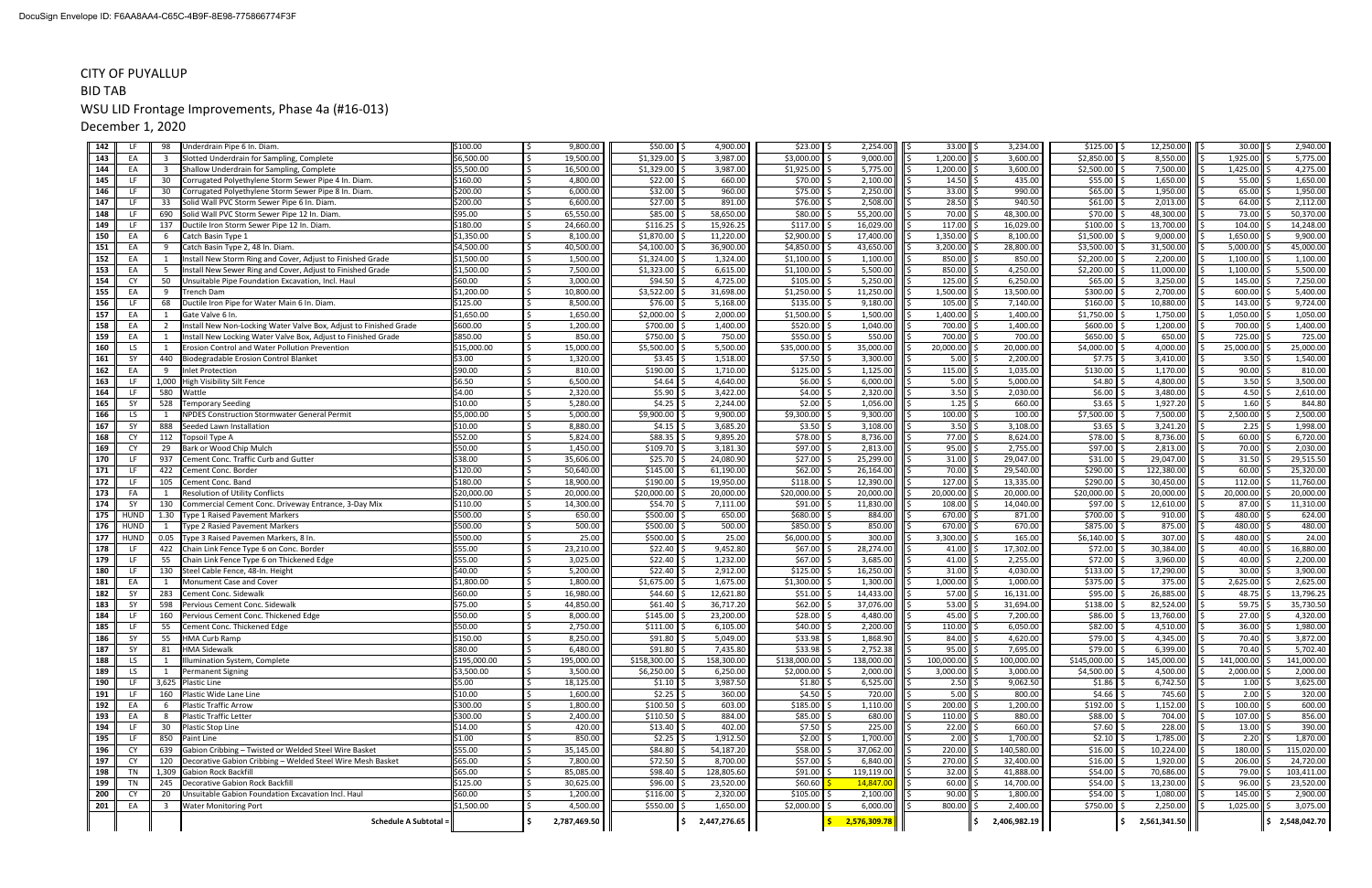| 142 | -LF         | 98                      | Underdrain Pipe 6 In. Diam                                        | \$100.00     | 9,800.00     | \$50.00<br>4,900.00                 | $$23.00$ \$               | 2,254.00     | 33.00                | 3,234.00     | $$125.00$ \$          | 12,250.00    | $30.00$ \$           | 2,940.00     |
|-----|-------------|-------------------------|-------------------------------------------------------------------|--------------|--------------|-------------------------------------|---------------------------|--------------|----------------------|--------------|-----------------------|--------------|----------------------|--------------|
| 143 | EA          | - 3                     | Slotted Underdrain for Sampling, Complete                         | \$6,500.00   | 19,500.00    | $$1,329.00$ \$<br>3,987.00          | $$3,000.00$ \$            | 9,000.00     | $1,200.00$ \$        | 3,600.00     | $$2,850.00$ \$        | 8,550.00     | $1,925.00$ \$<br>l s | 5,775.00     |
| 144 | EA          | $\overline{\mathbf{3}}$ | Shallow Underdrain for Sampling, Complete                         | \$5,500.00   | 16,500.00    | $$1,329.00$ $\parallel$<br>3,987.00 | $$1,925.00$ \$            | 5,775.00     | 1,200.00             | 3,600.00     | $$2,500.00$ \$        | 7,500.00     | $1,425.00$ \$        | 4,275.00     |
| 145 | LF          | 30                      | Corrugated Polyethylene Storm Sewer Pipe 4 In. Diam.              | \$160.00     | 4,800.00     | $$22.00$ $$$<br>660.00              | $$70.00$ \$               | 2,100.00     | 14.50                | 435.00       | $$55.00$ \$           | 1,650.00     | 55.00                | 1,650.00     |
| 146 | LF.         | 30                      | Corrugated Polyethylene Storm Sewer Pipe 8 In. Diam.              | \$200.00     | 6,000.00     | \$32.00<br>960.00                   | $$75.00$ $\vert$ \$       | 2,250.00     | 33.00                | 990.00       | $$65.00$ \$           | 1,950.00     | $65.00$ \$           | 1,950.00     |
| 147 | LF          | 33                      | Solid Wall PVC Storm Sewer Pipe 6 In. Diam.                       | \$200.00     | 6,600.00     | \$27.00<br>891.00                   | $$76.00$ $\vert$ \$       | 2,508.00     | 28.50                | 940.50       | \$61.00               | 2,013.00     | 64.00                | 2,112.00     |
| 148 | <b>LF</b>   | 690                     | Solid Wall PVC Storm Sewer Pipe 12 In. Diam                       | \$95.00      | 65,550.00    | \$85.00<br>58,650.00                | $$80.00$ $$$              | 55,200.00    | 70.00                | 48,300.00    | $$70.00$ \$           | 48,300.00    | 73.00                | 50,370.00    |
| 149 | LF          | 137                     | Ductile Iron Storm Sewer Pipe 12 In. Diam.                        | \$180.00     | 24,660.00    | \$116.25<br>15,926.25               | \$117.00                  | 16,029.00    | 117.00               | 16,029.00    | $$100.00$ \$          | 13,700.00    | 104.00               | 14,248.00    |
| 150 | EA          | - 6                     | Catch Basin Type 1                                                | \$1,350.00   | 8,100.00     | \$1,870.00<br>11,220.00             | \$2,900.00                | 17,400.00    | 1,350.00             | 8,100.00     | \$1,500.00            | 9,000.00     | 1,650.00             | 9,900.00     |
| 151 | EA          | $\mathbf{q}$            | Catch Basin Type 2, 48 In. Diam.                                  | \$4,500.00   | 40,500.00    | \$4,100.00<br>36,900.00             | \$4,850.00                | 43,650.00    | 3,200.00             | 28,800.00    | $$3,500.00$ \$        | 31,500.00    | 5,000.00             | 45,000.00    |
| 152 | EA          | - 1                     | Install New Storm Ring and Cover, Adjust to Finished Grade        | \$1,500.00   | 1,500.00     | \$1,324.00<br>1,324.00              | $$1,100.00$ \$            | 1,100.00     | 850.00               | 850.00       | $$2,200.00$ \$        | 2,200.00     | 1,100.00             | 1,100.00     |
| 153 | EA          | - 5                     | Install New Sewer Ring and Cover, Adjust to Finished Grade        | \$1,500.00   | 7,500.00     | \$1,323.00<br>6,615.00              | \$1,100.00                | 5,500.00     | 850.00               | 4,250.00     | $$2,200.00$ $\mid$ \$ | 11,000.00    | 1,100.00             | 5,500.00     |
| 154 | <b>CY</b>   | 50                      | Jnsuitable Pipe Foundation Excavation, Incl. Haul                 | \$60.00      | 3,000.00     | \$94.50<br>4,725.00                 | \$105.00                  | 5,250.00     | 125.00               | 6,250.00     | \$65.00               | 3,250.00     | 145.00               | 7,250.00     |
| 155 | EA          | - 9                     | Trench Dam                                                        | \$1,200.00   | 10,800.00    | \$3,522.00<br>31,698.00             | $$1,250.00$ \$            | 11,250.00    | 1,500.00             | 13,500.00    | $$300.00$ \$          | 2,700.00     | $600.00$ \;          | 5,400.00     |
| 156 | -LF         | 68                      |                                                                   | \$125.00     | 8,500.00     | \$76.00                             | \$135.00                  | 9,180.00     | 105.00               |              | \$160.00              | 10,880.00    | 143.00               | 9,724.00     |
| 157 | EA          | $\overline{1}$          | Ductile Iron Pipe for Water Main 6 In. Diam                       | \$1,650.00   |              | 5,168.00                            |                           | 1,500.00     | 1,400.00             | 7,140.00     |                       | 1,750.00     | 1,050.00             |              |
|     |             |                         | Gate Valve 6 In                                                   |              | 1,650.00     | \$2,000.00<br>2,000.00              | $$1,500.00$ \$            |              |                      | 1,400.00     | $$1,750.00$ \$        |              |                      | 1,050.00     |
| 158 | EA          | $\overline{2}$          | Install New Non-Locking Water Valve Box, Adjust to Finished Grade | \$600.00     | 1,200.00     | \$700.00<br>1,400.00                | $$520.00$ \$              | 1,040.00     | 700.00               | 1,400.00     | $$600.00$ \$          | 1,200.00     | 700.00               | 1,400.00     |
| 159 | EA          | 1                       | Install New Locking Water Valve Box, Adjust to Finished Grade     | \$850.00     | 850.00       | \$750.00<br>750.00                  | $$550.00$ \$              | 550.00       | 700.00               | 700.00       | $$650.00$ \$          | 650.00       | 725.00               | 725.00       |
| 160 | LS          | $\overline{1}$          | Erosion Control and Water Pollution Prevention                    | \$15,000.00  | 15,000.00    | \$5,500.00<br>5,500.00              | $$35,000.00$ $\downarrow$ | 35,000.00    | 20,000.00            | 20,000.00    | $$4,000.00$ \$        | 4,000.00     | 25,000.00            | 25,000.00    |
| 161 | <b>SY</b>   | 440                     | Biodegradable Erosion Control Blanket                             | \$3.00       | 1,320.00     | \$3.45<br>1,518.00                  | $$7.50$ $$$               | 3,300.00     | 5.00                 | 2,200.00     | $$7.75$ \$            | 3,410.00     | $3.50 \, \text{S}$   | 1,540.00     |
| 162 | EA          | -9                      | <b>Inlet Protection</b>                                           | \$90.00      | 810.00       | \$190.00<br>1,710.00                | \$125.00                  | 1,125.00     | 115.00               | 1,035.00     | $$130.00$ \$          | 1,170.00     | 90.00                | 810.00       |
| 163 | LF          | 1,000                   | High Visibility Silt Fence                                        | \$6.50       | 6,500.00     | \$4.64<br>4,640.00                  | $$6.00$ $$$               | 6,000.00     | 5.00                 | 5,000.00     | $$4.80$ \$            | 4,800.00     | $3.50$ \$            | 3,500.00     |
| 164 | LF          | 580                     | Wattle                                                            | \$4.00       | 2,320.00     | \$5.90<br>3,422.00                  | $$4.00$ \$                | 2,320.00     | 3.50                 | 2,030.00     | $$6.00$ \$            | 3,480.00     | $4.50$ \$            | 2,610.00     |
| 165 | SY          | 528                     | Temporary Seeding                                                 | \$10.00      | 5,280.00     | \$4.25<br>2,244.00                  | $$2.00$ $$$               | 1,056.00     | 1.25                 | 660.00       | $$3.65$ \$            | 1,927.20     | 1.60                 | 844.80       |
| 166 | LS          | $\overline{1}$          | <b>NPDES Construction Stormwater General Permit</b>               | \$5,000.00   | 5,000.00     | \$9,900.00<br>9,900.00              | $$9,300.00$ \$            | 9,300.00     | 100.00               | 100.00       | $$7,500.00$ \$        | 7,500.00     | 2,500.00             | 2,500.00     |
| 167 | <b>SY</b>   | 888                     | Seeded Lawn Installation                                          | \$10.00      | 8,880.00     | \$4.15<br>3,685.20                  | $$3.50$ $$$               | 3,108.00     | 3.50                 | 3,108.00     | $$3.65$ \$            | 3,241.20     | 2.25                 | 1,998.00     |
| 168 | CY          | 112                     | Topsoil Type A                                                    | \$52.00      | 5,824.00     | \$88.35<br>9,895.20                 | $$78.00$ $$$              | 8,736.00     | 77.00                | 8,624.00     | $$78.00$ \$           | 8,736.00     | $60.00$ \$           | 6,720.00     |
| 169 | CY          | 29                      | Bark or Wood Chip Mulch                                           | \$50.00      | 1,450.00     | \$109.70<br>3,181.30                | $$97.00$ $$$              | 2,813.00     | 95.00                | 2,755.00     | $$97.00$ \$           | 2,813.00     | 70.00                | 2,030.00     |
| 170 | <b>LF</b>   | 937                     | Cement Conc. Traffic Curb and Gutter                              | \$38.00      | 35,606.00    | \$25.70<br>24,080.90                | $$27.00$ \$               | 25,299.00    | 31.00                | 29,047.00    | \$31.00               | 29,047.00    | 31.50                | 29,515.50    |
| 171 | LF          | 422                     | Cement Conc. Border                                               | \$120.00     | 50,640.00    | \$145.00<br>61,190.00               | $$62.00$ \$               | 26,164.00    | 70.00                | 29,540.00    | \$290.00              | 122,380.00   | 60.00                | 25,320.00    |
| 172 | LF.         | 105                     | Cement Conc. Band                                                 | \$180.00     | 18,900.00    | \$190.00<br>19,950.00               | \$118.00                  | 12,390.00    | 127.00               | 13,335.00    | \$290.00              | 30,450.00    | 112.00               | 11,760.00    |
| 173 | FA          | - 1                     | Resolution of Utility Conflicts                                   | \$20,000.00  | 20,000.00    | \$20,000.00<br>20,000.00            | \$20,000.00               | 20,000.00    | 20,000.00            | 20,000.00    | \$20,000.00           | 20,000.00    | 20,000.00            | 20,000.00    |
| 174 | - SY        | 130                     | Commercial Cement Conc. Driveway Entrance, 3-Day Mix              | \$110.00     | 14,300.00    | \$54.70<br>7,111.00                 | $$91.00$ $$$              | 11,830.00    | 108.00               | 14,040.00    | \$97.00               | 12,610.00    | 87.00                | 11,310.00    |
| 175 | <b>HUND</b> | 1.30                    | <b>Type 1 Raised Pavement Markers</b>                             | \$500.00     | 650.00       | \$500.00<br>650.00                  | \$680.00 \$               | 884.00       | 670.00               | 871.00       | \$700.00              | 910.00       | 480.00               | 624.00       |
| 176 | <b>HUND</b> |                         | <b>Type 2 Rasied Pavement Markers</b>                             | \$500.00     | 500.00       | 500.00<br>\$500.00                  | $$850.00$ \$              | 850.00       | 670.00               | 670.00       | \$875.00              | 875.00       | 480.00               | 480.00       |
| 177 | <b>HUND</b> | 0.05                    | Type 3 Raised Pavemen Markers, 8 In.                              | \$500.00     | 25.00        | \$500.00<br>25.00                   | $$6,000.00$ \$            | 300.00       | 3,300.00             | 165.00       | $$6,140.00$ \$        | 307.00       | 480.00 \$            | 24.00        |
| 178 | LF          | 422                     | Chain Link Fence Type 6 on Conc. Border                           | \$55.00      | 23,210.00    | \$22.40<br>9,452.80                 | $$67.00$ \$               | 28,274.00    | 41.00                | 17,302.00    | \$72.00               | 30,384.00    | 40.00                | 16,880.00    |
| 179 | LF          | 55                      | Chain Link Fence Type 6 on Thickened Edge                         | \$55.00      | 3,025.00     | \$22.40<br>1,232.00                 | $$67.00$ \$               | 3,685.00     | 41.00                | 2,255.00     | \$72.00               | 3,960.00     | 40.00                | 2,200.00     |
| 180 | -LF         | 130                     | Steel Cable Fence, 48-In. Height                                  | \$40.00      | 5,200.00     | \$22.40<br>2,912.00                 | $$125.00$ \$              | 16,250.00    | 31.00                | 4,030.00     | $$133.00$ \$          | 17,290.00    | 30.00                | 3,900.00     |
| 181 | EA          | 1                       | Monument Case and Cover                                           | \$1,800.00   | 1,800.00     | \$1,675.00<br>1,675.00              | $$1,300.00$ \$            | 1,300.00     | 1,000.00             | 1,000.00     | $$375.00$ \$          | 375.00       | 2,625.00             | 2,625.00     |
| 182 | SY          | 283                     | Cement Conc. Sidewalk                                             | \$60.00      | 16,980.00    | \$44.60<br>12,621.80                | $$51.00$ \$               | 14,433.00    | 57.00                | 16,131.00    | \$95.00               | 26,885.00    | 48.75                | 13,796.25    |
| 183 | - SY        | 598                     | Pervious Cement Conc. Sidewalk                                    | \$75.00      | 44,850.00    | \$61.40<br>36,717.20                | $$62.00$ \$               | 37,076.00    | 53.00                | 31,694.00    | \$138.00              | 82,524.00    | 59.75                | 35,730.50    |
| 184 | LF          | 160                     | Pervious Cement Conc. Thickened Edge                              | \$50.00      | 8,000.00     | \$145.00<br>23,200.00               | $$28.00$ \$               | 4,480.00     | 45.00                | 7,200.00     | \$86.00               | 13,760.00    | 27.00                | 4,320.00     |
| 185 | LF          | 55                      | Cement Conc. Thickened Edge                                       | \$50.00      | 2,750.00     | \$111.00<br>6,105.00                | $$40.00$ \$               | 2,200.00     | 110.00               | 6,050.00     | $$82.00$ \$           | 4,510.00     | ll \$<br>$36.00$ \$  | 1,980.00     |
| 186 | SY          | 55                      | <b>HMA Curb Ramp</b>                                              | \$150.00     | 8,250.00     | $$91.80$ \$<br>5,049.00             | $$33.98$ \$               | 1,868.90     | $84.00$ \$           | 4,620.00     | $$79.00$ \$           | 4,345.00     | ۱s<br>$70.40$ \$     | 3,872.00     |
| 187 | SY          | 81                      | <b>HMA Sidewalk</b>                                               | \$80.00      | 6,480.00     | $$91.80$ \$<br>7,435.80             | $$33.98$ \$               | 2,752.38     | 95.00                | 7,695.00     | $$79.00$ \$           | 6,399.00     | 70.40                | 5,702.40     |
| 188 | LS          |                         | Illumination System, Complete                                     | \$195,000.00 | 195,000.00   | \$158,300.00<br>158,300.00          | \$138,000.00 \$           | 138,000.00   | 100,000.00           | 100,000.00   | $$145,000.00$ \$      | 145,000.00   | 141,000.00 \$        | 141,000.00   |
| 189 | LS          |                         | Permanent Signing                                                 | \$3,500.00   | 3,500.00     | $$6,250.00$ \$<br>6,250.00          | $$2,000.00$ \$            | 2,000.00     | 3,000.00             | 3,000.00     | $$4,500.00$ \$        | 4,500.00     | 2,000.00             | 2,000.00     |
| 190 | LF          |                         | 3,625 Plastic Line                                                | \$5.00       | 18,125.00    | $$1.10$ \$<br>3,987.50              | $$1.80$ \$                | 6,525.00     | $2.50$ \$            | 9,062.50     | $$1.86$ $$$           | 6,742.50     | $1.00 \, \text{S}$   | 3,625.00     |
| 191 | LF.         | 160                     | Plastic Wide Lane Line                                            | \$10.00      | 1,600.00     | $$2.25$ \$<br>360.00                | $$4.50$ $$$               | 720.00       | $5.00$ $\frac{5}{5}$ | 800.00       | $$4.66$ $$$           | 745.60       | $2.00$   \$          | 320.00       |
| 192 | EA          | - 6                     | <b>Plastic Traffic Arrow</b>                                      | \$300.00     | 1,800.00     | $$100.50$ \$<br>603.00              | $$185.00$ \$              | 1,110.00     | 200.00               | 1,200.00     | $$192.00$ \$          | 1,152.00     | $100.00$ \$          | 600.00       |
| 193 | EA          |                         | Plastic Traffic Letter                                            | \$300.00     | 2,400.00     | $$110.50$ \$<br>884.00              | $$85.00$ $$$              | 680.00       | $110.00$ \$          | 880.00       | $$88.00$ \$           | 704.00       | $107.00$ \$          | 856.00       |
| 194 | LF          | 30                      | <b>Plastic Stop Line</b>                                          | \$14.00      | 420.00       | $$13.40$ \$<br>402.00               | $$7.50$ $$$               | 225.00       | $22.00$ \$           | 660.00       | $$7.60$ $$$           | 228.00       | $13.00$   \$         | 390.00       |
| 195 | LF          | 850                     | Paint Line                                                        | \$1.00       | 850.00       | $$2.25$ \$<br>1,912.50              | $$2.00$ $$$               | 1,700.00     | 2.00                 | 1,700.00     | $$2.10$ $$$           | 1,785.00     | $2.20$ \$            | 1,870.00     |
| 196 | <b>CY</b>   | 639                     | Gabion Cribbing - Twisted or Welded Steel Wire Basket             | \$55.00      | 35,145.00    | $$84.80$ \$<br>54,187.20            | $$58.00$ $$$              | 37,062.00    | 220.00               | 140,580.00   | $$16.00$ \$           | 10,224.00    | $180.00$ \$          | 115,020.00   |
| 197 | CY          | 120                     | Decorative Gabion Cribbing - Welded Steel Wire Mesh Basket        | \$65.00      | 7,800.00     | $$72.50$ $$$<br>8,700.00            | $$57.00$ $$$              | 6,840.00     | 270.00               | 32,400.00    | $$16.00$ \$           | 1,920.00     | 206.00               | 24,720.00    |
| 198 | TN          |                         | 1,309 Gabion Rock Backfill                                        | \$65.00      | 85,085.00    | \$98.40<br>128,805.60               | $$91.00$ \$               | 119,119.00   | 32.00                | 41,888.00    | $$54.00$ \$           | 70,686.00    | 79.00                | 103,411.00   |
| 199 | TN          | 245                     | Decorative Gabion Rock Backfill                                   | \$125.00     | 30,625.00    | $$96.00$ \$<br>23,520.00            | \$60.60                   | 14,847.00    | $60.00$ \$           | 14,700.00    | $$54.00$ \$           | 13,230.00    | $96.00$ \$           | 23,520.00    |
| 200 | <b>CY</b>   | 20                      | Unsuitable Gabion Foundation Excavation Incl. Haul                | \$60.00      | 1,200.00     | $$116.00$ $$$<br>2,320.00           | $$105.00$ \$              | 2,100.00     | $90.00$ :            | 1,800.00     | $$54.00$ \$           | 1,080.00     | $145.00$ \$          | 2,900.00     |
| 201 | EA          | $\overline{\mathbf{3}}$ | <b>Water Monitoring Port</b>                                      | \$1,500.00   | 4,500.00     | $$550.00$ \$<br>1,650.00            | $$2,000.00$ \$            | 6,000.00     | 800.00               | 2,400.00     | $$750.00$ \$          | 2,250.00     | $1,025.00$ \$        | 3,075.00     |
|     |             |                         |                                                                   |              |              |                                     |                           |              |                      |              |                       |              |                      |              |
|     |             |                         | Schedule A Subtotal =                                             |              | 2,787,469.50 | 2,447,276.65                        |                           | 2,576,309.78 |                      | 2,406,982.19 |                       | 2,561,341.50 |                      | 2,548,042.70 |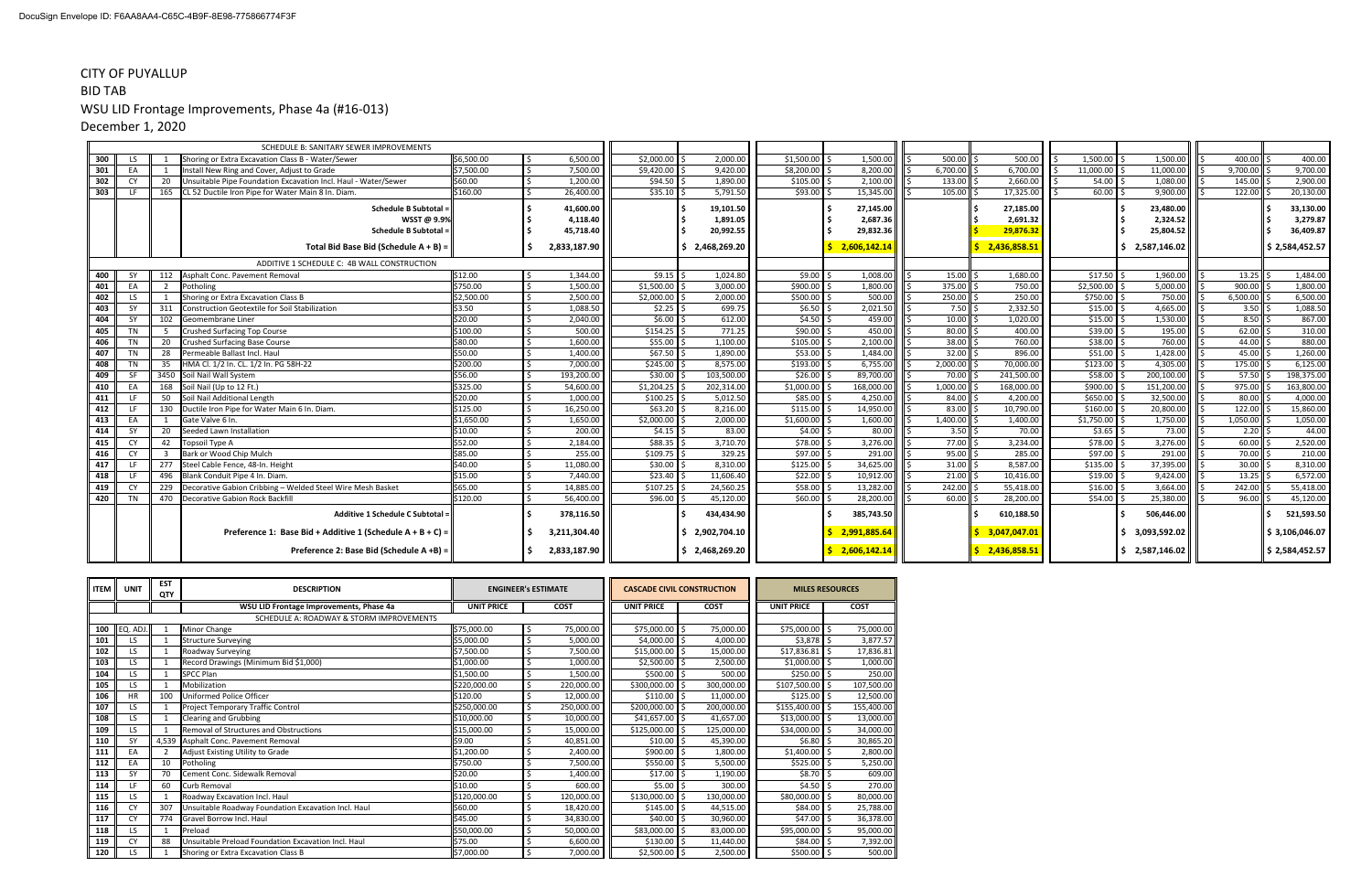| 300<br>LS.<br>301<br>EA |     | Shoring or Extra Excavation Class B - Water/Sewer              | \$6,500.00 |              |              |                |                 |                |                        |              |                |                |                        |                |
|-------------------------|-----|----------------------------------------------------------------|------------|--------------|--------------|----------------|-----------------|----------------|------------------------|--------------|----------------|----------------|------------------------|----------------|
|                         |     |                                                                |            | 6,500.00     | \$2,000.00   | 2,000.00       | \$1,500.00      | 1,500.00       | $500.00$ $\frac{1}{5}$ | 500.00       | $1,500.00$ \$  | 1,500.00       | 400.00 \$              | 400.00         |
|                         |     | Install New Ring and Cover, Adjust to Grade                    | \$7,500.00 | 7,500.00     | \$9,420.00   | 9,420.00       | \$8,200.00      | 8,200.00       | 6,700.00               | 6,700.00     | 11,000.00 \$   | 11,000.00      | 9,700.00               | 9,700.00       |
| 302<br><b>CY</b>        | 20  | Unsuitable Pipe Foundation Excavation Incl. Haul - Water/Sewer | \$60.00    | 1,200.00     | \$94.50      | 1,890.00       | \$105.00        | 2,100.00       | 133.00                 | 2,660.00     | $54.00$ \$     | 1,080.00       | $145.00$ \$            | 2,900.00       |
| 303<br>LF.              | 165 | ICL 52 Ductile Iron Pipe for Water Main 8 In. Diam.            | \$160.00   | 26,400.00    | $$35.10$ $$$ | 5,791.50       | \$93.00         | 15,345.00      | $105.00$ $\mid$        | 17,325.00    | $60.00$ \$     | 9,900.00       | $122.00$ \$            | 20,130.00      |
|                         |     | Schedule B Subtotal =                                          |            | 41,600.00    |              | 19,101.50      |                 | 27,145.00      |                        | 27,185.00    |                | 23,480.00      |                        | 33,130.00      |
|                         |     | WSST @ 9.9%                                                    |            | 4,118.40     |              | 1,891.05       |                 | 2,687.36       |                        | 2,691.32     |                | 2,324.52       |                        | 3,279.87       |
|                         |     | <b>Schedule B Subtotal</b>                                     |            | 45,718.40    |              | 20,992.55      |                 | 29,832.36      |                        | 29,876.32    |                | 25,804.52      |                        | 36,409.87      |
|                         |     | Total Bid Base Bid (Schedule A + B) =                          |            | 2,833,187.90 |              | \$2,468,269.20 |                 | 2,606,142.14   |                        | 2,436,858.5  |                | 2,587,146.02   |                        | \$2,584,452.57 |
|                         |     |                                                                |            |              |              |                |                 |                |                        |              |                |                |                        |                |
|                         |     | ADDITIVE 1 SCHEDULE C: 4B WALL CONSTRUCTION                    |            |              |              |                |                 |                |                        |              |                |                |                        |                |
| 400<br>SΥ               |     | Asphalt Conc. Pavement Removal                                 | \$12.00    | 1,344.00     | \$9.15       | 1,024.80       | \$9.00          | 1,008.00       | 15.00                  | 1,680.00     | $$17.50$ \$    | 1,960.00       | $13.25$ \$             | 1,484.00       |
| 401<br>EA               |     | Potholing                                                      | \$750.00   | 1,500.00     | \$1,500.00   | 3,000.00       | \$900.00        | 1,800.00       | 375.00 \$              | 750.00       | \$2,500.00     | 5,000.00       | $900.00$ $\frac{1}{5}$ | 1,800.00       |
| 402<br>LS.              |     | Shoring or Extra Excavation Class B                            | \$2,500.00 | 2,500.00     | \$2,000.00   | 2,000.00       | \$500.00        | 500.00         | 250.00 \$              | 250.00       | \$750.00       | 750.00         | 6,500.00               | 6,500.00       |
| 403<br>SY               | 311 | Construction Geotextile for Soil Stabilization                 | \$3.50     | 1,088.50     | \$2.25       | 699.75         | \$6.50          | 2,021.50       | $7.50$ \$              | 2,332.50     | $$15.00$ \$    | 4,665.00       | $3.50$ \$              | 1,088.50       |
| 404<br><b>SY</b>        | 102 | Geomembrane Liner                                              | \$20.00    | 2,040.00     | \$6.00       | 612.00         | \$4.50          | 459.00         | $10.00$ \$             | 1,020.00     | $$15.00$ \$    | 1,530.00       | $8.50$ \$              | 867.00         |
| 405<br>TN               |     | Crushed Surfacing Top Course                                   | \$100.00   | 500.00       | $$154.25$ \$ | 771.25         | $$90.00$ $$$    | 450.00         | $80.00$ \$             | 400.00       | $$39.00$ \$    | 195.00         | $62.00$ \$             | 310.00         |
| 406<br><b>TN</b>        | 20  | <b>Crushed Surfacing Base Course</b>                           | \$80.00    | 1,600.00     | \$55.00      | 1,100.00       | $$105.00$ $ $ : | 2,100.00       | $38.00$ \$             | 760.00       | $$38.00$ \$    | 760.00         | 44.00 \$               | 880.00         |
| 407<br>TN               | 28  | Permeable Ballast Incl. Haul                                   | \$50.00    | 1,400.00     | \$67.50      | 1,890.00       | \$53.00         | 1,484.00       | $32.00$ $\frac{2}{3}$  | 896.00       | $$51.00$ \$    | 1,428.00       | $45.00$ \$             | 1,260.00       |
| 408<br>TN               | -35 | HMA Cl. 1/2 In. CL. 1/2 In. PG 58H-22                          | \$200.00   | 7,000.00     | \$245.00     | 8,575.00       | \$193.00        | 6,755.00       | 2,000.00               | 70,000.00    | $$123.00$ \$   | 4,305.00       | 175.00 \$              | 6,125.00       |
| <b>SF</b><br>409        |     | 3450 Soil Nail Wall System                                     | \$56.00    | 193,200.00   | \$30.00      | 103,500.00     | \$26.00         | 89,700.00      | 70.00                  | 241,500.00   | $$58.00$ \$    | 200,100.00     | 57.50                  | 198,375.00     |
| 410<br>EA               | 168 | Soil Nail (Up to 12 Ft.)                                       | \$325.00   | 54,600.00    | \$1,204.25   | 202,314.00     | \$1,000.00      | 168,000.00     | 1,000.00               | 168,000.00   | $$900.00$ \$   | 151,200.00     | 975.00 \$              | 163,800.00     |
| 411<br>LF.              | 50  | Soil Nail Additional Length                                    | \$20.00    | 1,000.00     | \$100.25     | 5,012.50       | \$85.00         | 4,250.00       | 84.00                  | 4,200.00     | $$650.00$ \$   | 32,500.00      | $80.00$ $\frac{1}{5}$  | 4,000.00       |
| 412<br>LF               | 130 | Ductile Iron Pipe for Water Main 6 In. Diam.                   | \$125.00   | 16,250.00    | $$63.20$ \$  | 8,216.00       | \$115.00        | 14,950.00      | $83.00$ $\mid$ .       | 10,790.00    | $$160.00$ \$   | 20,800.00      | $122.00$ \$            | 15,860.00      |
| 413<br>EA               |     | Gate Valve 6 In.                                               | \$1,650.00 | 1,650.00     | \$2,000.00   | 2,000.00       | \$1,600.00      | 1,600.00       | $1,400.00$ $\mid$ 9    | 1,400.00     | $$1,750.00$ \$ | 1,750.00       | $1,050.00$ \$          | 1,050.00       |
| 414<br>SY               | 20  | Seeded Lawn Installation                                       | \$10.00    | 200.00       | $$4.15$ \$   | 83.00          | \$4.00          | 80.00          | $3.50$ \$              | 70.00        | $$3.65$ \$     | 73.00          | $2.20$ \$              | 44.00          |
| 415<br>CY               | 42  | <b>Topsoil Type A</b>                                          | \$52.00    | 2,184.00     | \$88.35      | 3,710.70       | \$78.00         | 3,276.00       | 77.00                  | 3,234.00     | $$78.00$ \$    | 3,276.00       | $60.00$ \$             | 2,520.00       |
| 416<br>CY               |     | Bark or Wood Chip Mulch                                        | \$85.00    | 255.00       | \$109.75     | 329.25         | \$97.00         | 291.00         | 95.00                  | 285.00       | $$97.00$ \$    | 291.00         | 70.00 \$               | 210.00         |
| 417<br>LF               | 277 | Steel Cable Fence, 48-In. Height                               | \$40.00    | 11,080.00    | \$30.00      | 8,310.00       | \$125.00        | 34,625.00      | 31.00                  | 8,587.00     | $$135.00$ \$   | 37,395.00      | $30.00$ S              | 8,310.00       |
| 418<br>LF               | 496 | Blank Conduit Pipe 4 In, Diam                                  | \$15.00    | 7,440.00     | \$23.40      | 11,606.40      | \$22.00         | 10,912.00      | 21.00                  | 10,416.00    | $$19.00$ \$    | 9,424.00       | $13.25$ \$             | 6,572.00       |
| 419<br><b>CY</b>        | 229 | Decorative Gabion Cribbing - Welded Steel Wire Mesh Basket     | \$65.00    | 14,885.00    | \$107.25     | 24,560.25      | \$58.00         | 13,282.00      | 242.00                 | 55,418.00    | $$16.00$ \$    | 3,664.00       | 242.00                 | 55,418.00      |
| 420<br>TN               | 470 | Decorative Gabion Rock Backfill                                | \$120.00   | 56,400.00    | \$96.00      | 45,120.00      | \$60.00         | 28,200.00      | 60.00                  | 28,200.00    | $$54.00$ \$    | 25,380.00      | $96.00$ \$             | 45,120.00      |
|                         |     | Additive 1 Schedule C Subtotal                                 |            | 378,116.50   |              | 434,434.90     |                 | 385,743.50     |                        | 610,188.50   |                | 506,446.00     |                        | 521,593.50     |
|                         |     | Preference 1: Base Bid + Additive 1 (Schedule $A + B + C$ ) =  |            | 3,211,304.40 |              | 2,902,704.10   |                 | 2,991,885.64   |                        | 3,047,047.01 |                | 3,093,592.02   |                        | \$3,106,046.07 |
|                         |     | Preference 2: Base Bid (Schedule A +B) =                       |            | 2,833,187.90 |              | \$2,468,269.20 |                 | \$2,606,142.14 |                        | 2,436,858.51 |                | \$2,587,146.02 |                        | \$2,584,452.57 |

| <b>ITEM</b> | <b>UNIT</b> | <b>EST</b><br>QTY | <b>DESCRIPTION</b>                                  | <b>ENGINEER'S ESTIMATE</b> |             | <b>CASCADE CIVIL CONSTRUCTION</b> |             |            | <b>MILES RESOURCES</b> |   |             |
|-------------|-------------|-------------------|-----------------------------------------------------|----------------------------|-------------|-----------------------------------|-------------|------------|------------------------|---|-------------|
|             |             |                   | WSU LID Frontage Improvements, Phase 4a             | <b>UNIT PRICE</b>          | <b>COST</b> | <b>UNIT PRICE</b>                 | <b>COST</b> |            | <b>UNIT PRICE</b>      |   | <b>COST</b> |
|             |             |                   | SCHEDULE A: ROADWAY & STORM IMPROVEMENTS            |                            |             |                                   |             |            |                        |   |             |
| 100         | EQ. ADJ.    |                   | <b>Minor Change</b>                                 | \$75,000.00                | 75,000.00   | $$75,000.00$ \$                   |             | 75,000.00  | \$75,000.00            |   | 75,000.00   |
| 101         | LS          |                   | <b>Structure Surveying</b>                          | \$5,000.00                 | 5,000.00    | $$4,000.00$ \$                    |             | 4,000.00   | \$3,878                |   | 3,877.57    |
| 102         | LS          |                   | Roadway Surveying                                   | \$7,500.00                 | 7,500.00    | $$15,000.00$ \$                   |             | 15,000.00  | \$17,836.81            |   | 17,836.81   |
| 103         | LS.         |                   | Record Drawings (Minimum Bid \$1,000)               | \$1,000.00                 | 1,000.00    | $$2,500.00$ \$                    |             | 2,500.00   | \$1,000.00             |   | 1,000.00    |
| 104         | LS          |                   | <b>SPCC Plan</b>                                    | \$1,500.00                 | 1,500.00    | \$500.00 \$                       |             | 500.00     | \$250.00               |   | 250.00      |
| 105         | LS.         |                   | Mobilization                                        | \$220,000.00               | 220,000.00  | \$300,000.00 \$                   |             | 300,000.00 | \$107,500.00           | Ś | 107,500.00  |
| 106         | <b>HR</b>   | 100               | Uniformed Police Officer                            | \$120.00                   | 12,000.00   | $$110.00$ \$                      |             | 11,000.00  | \$125.00               |   | 12,500.00   |
| 107         | <b>LS</b>   |                   | Project Temporary Traffic Control                   | \$250.000.00               | 250,000.00  | $$200,000.00$ \$                  |             | 200,000.00 | \$155,400.00           |   | 155,400.00  |
| 108         | <b>LS</b>   |                   | <b>Clearing and Grubbing</b>                        | \$10,000.00                | 10,000.00   | $$41,657.00$ \$                   |             | 41,657.00  | \$13,000.00            |   | 13,000.00   |
| 109         | LS          |                   | <b>Removal of Structures and Obstructions</b>       | \$15.000.00                | 15,000.00   | $$125,000.00$ \$                  |             | 125,000.00 | \$34,000.00            | Ś | 34,000.00   |
| 110         | <b>SY</b>   |                   | 4,539 Asphalt Conc. Pavement Removal                | \$9.00                     | 40.851.00   | $$10.00$ $$$                      |             | 45,390.00  | \$6.80                 |   | 30,865.20   |
| 111         | EA          |                   | Adjust Existing Utility to Grade                    | \$1,200.00                 | 2,400.00    | $$900.00$ \$                      |             | 1,800.00   | \$1,400.00             |   | 2,800.00    |
| 112         | EA          | 10                | Potholing                                           | \$750.00                   | 7,500.00    | \$550.00                          |             | 5,500.00   | \$525.00               |   | 5,250.00    |
| 113         | SY          | 70                | Cement Conc. Sidewalk Removal                       | \$20.00                    | 1,400.00    | \$17.00                           |             | 1,190.00   | \$8.70                 |   | 609.00      |
| 114         | LF          | 60                | Curb Removal                                        | \$10.00                    | 600.00      | \$5.00                            |             | 300.00     | \$4.50                 |   | 270.00      |
| 115         | LS          |                   | Roadway Excavation Incl. Haul                       | \$120.000.00               | 120,000.00  | $$130,000.00$ \$                  |             | 130,000.00 | \$80,000.00            |   | 80,000.00   |
| 116         | <b>CY</b>   | 307               | Unsuitable Roadway Foundation Excavation Incl. Haul | \$60.00                    | 18,420.00   | $$145.00$ \$                      |             | 44,515.00  | \$84.00                |   | 25,788.00   |
| 117         | <b>CY</b>   | 774               | <b>Gravel Borrow Incl. Haul</b>                     | \$45.00                    | 34,830.00   | $$40.00$ \$                       |             | 30,960.00  | \$47.00                |   | 36,378.00   |
| 118         | LS          |                   | Preload                                             | \$50,000.00                | 50,000.00   | $$83,000.00$ \$                   |             | 83,000.00  | \$95,000.00            |   | 95,000.00   |
| 119         | <b>CY</b>   |                   | Unsuitable Preload Foundation Excavation Incl. Haul | \$75.00                    | 6,600.00    | $$130.00$ \$                      |             | 11,440.00  | \$84.00                |   | 7,392.00    |
| 120         | LS          |                   | Shoring or Extra Excavation Class B                 | \$7,000.00                 | 7,000.00    | $$2,500.00$ \$                    |             | 2,500.00   | $$500.00$ \$           |   | 500.00      |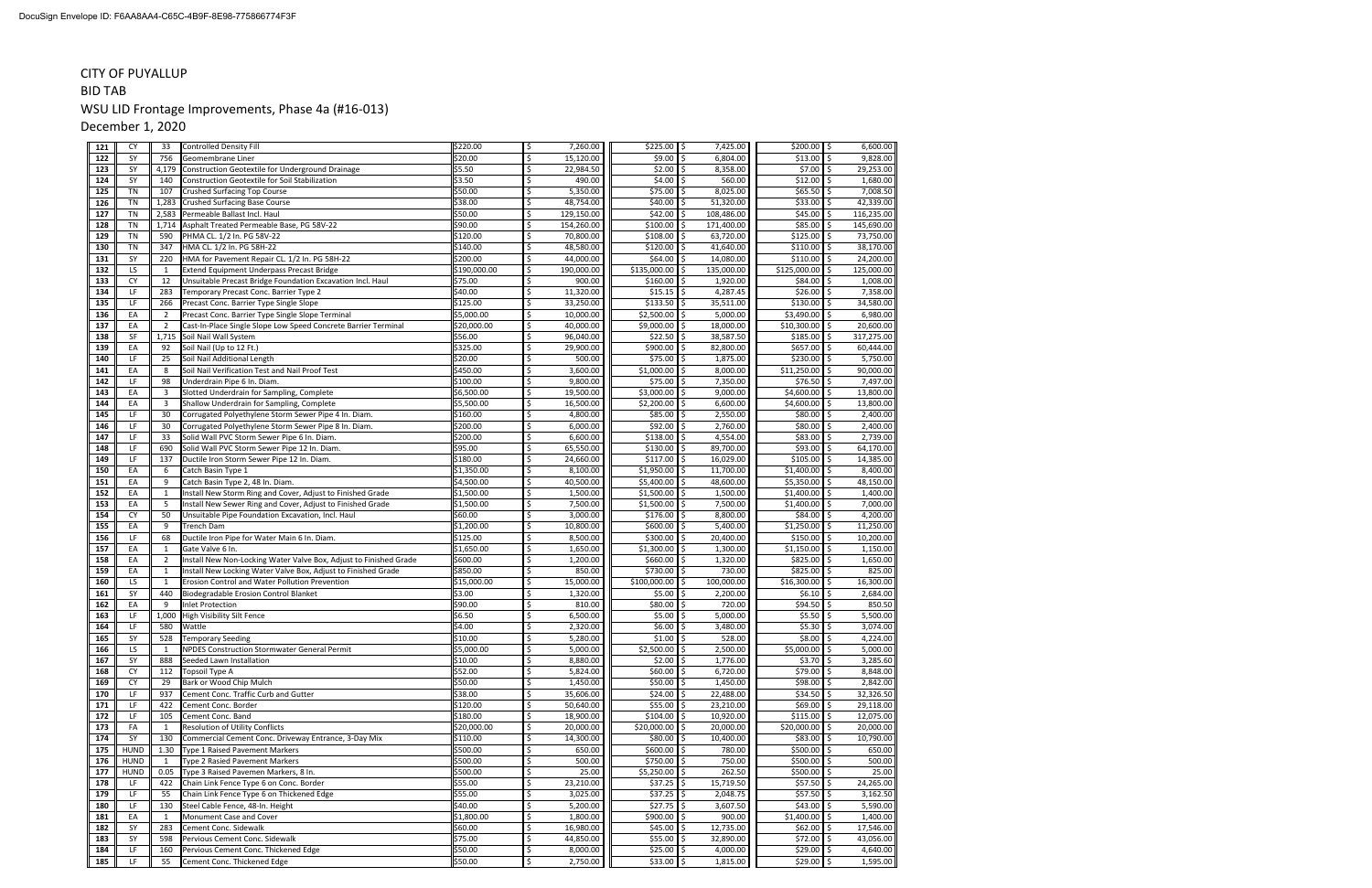#### CITY OF PUYALLUP

# BID TABWSU LID Frontage Improvements, Phase 4a (#16-013)

December 1, 2020

| 121        | <b>CY</b>       | 33             | <b>Controlled Density Fill</b>                                                                                                   | \$220.00                | Ś       | 7,260.00               | \$225.00            | l\$<br>7,425.00                     | \$200.00               | l\$<br>6,600.00                   |
|------------|-----------------|----------------|----------------------------------------------------------------------------------------------------------------------------------|-------------------------|---------|------------------------|---------------------|-------------------------------------|------------------------|-----------------------------------|
| 122        | SY              | 756            | Geomembrane Liner                                                                                                                | \$20.00                 | \$      | 15,120.00              | \$9.00              | 6,804.00<br>Ś                       | \$13.00                | 9,828.00<br>Ś                     |
| 123        | SY              | 4,179          | Construction Geotextile for Underground Drainage                                                                                 | \$5.50                  | Ś       | 22,984.50              | \$2.00              | Ś<br>8,358.00                       | \$7.00                 | Ś<br>29,253.00                    |
| 124        | SY              | 140            | Construction Geotextile for Soil Stabilization                                                                                   | \$3.50                  | Ś       | 490.00                 | \$4.00              | 560.00<br>Ś                         | \$12.00                | Ś<br>1,680.00                     |
| 125        | TN              | 107            | Crushed Surfacing Top Course                                                                                                     | \$50.00                 | \$      | 5,350.00               | \$75.00             | Ś<br>8,025.00                       | \$65.50                | \$<br>7,008.50                    |
| 126        | <b>TN</b>       | 1,283          | Crushed Surfacing Base Course                                                                                                    | \$38.00                 | Ś       | 48,754.00              | \$40.00             | 51,320.00<br>Ś                      | \$33.00                | Ś.<br>42,339.00                   |
| 127        | <b>TN</b>       | 2,583          | Permeable Ballast Incl. Haul                                                                                                     | \$50.00                 | \$      | 129,150.00             | \$42.00             | 108,486.00<br>Ŝ.                    | \$45.00                | Ś<br>116,235.00                   |
| 128        | <b>TN</b>       | 1,714          | Asphalt Treated Permeable Base, PG 58V-22                                                                                        | \$90.00                 | \$      | 154,260.00             | \$100.00            | 171,400.00                          | \$85.00                | 145,690.00                        |
| 129        | <b>TN</b>       | 590            | PHMA CL. 1/2 In. PG 58V-22                                                                                                       | \$120.00                | Ś       | 70,800.00              | \$108.00            | 63,720.00                           | \$125.00               | 73,750.00                         |
| 130        | <b>TN</b>       | 347            | HMA CL. 1/2 In. PG 58H-22                                                                                                        | \$140.00                | \$      | 48,580.00              | \$120.00            | \$<br>41,640.00                     | \$110.00               | \$<br>38,170.00                   |
| 131        | SY              | 220            | HMA for Pavement Repair CL. 1/2 In. PG 58H-22                                                                                    | \$200.00                | Ś       | 44,000.00              | \$64.00             | 14,080.00                           | \$110.00               | Ś<br>24,200.00                    |
| 132        | LS              | 1              | Extend Equipment Underpass Precast Bridge                                                                                        | \$190,000.00            | Ś       | 190,000.00             | \$135,000.00        | Ś<br>135,000.00                     | \$125,000.00           | 125,000.00                        |
| 133        | <b>CY</b>       | 12             | Unsuitable Precast Bridge Foundation Excavation Incl. Haul                                                                       | \$75.00                 | \$      | 900.00                 | \$160.00            | Ś<br>1,920.00                       | \$84.00                | Ś<br>1,008.00                     |
| 134        | LF              | 283            | Temporary Precast Conc. Barrier Type 2                                                                                           | \$40.00                 | \$      | 11,320.00              | \$15.15             | 4,287.45<br>Ś                       | \$26.00                | Ś<br>7,358.00                     |
| 135        | LF              | 266            | Precast Conc. Barrier Type Single Slope                                                                                          | \$125.00                |         | 33,250.00              | \$133.50            | Ś<br>35,511.00                      | \$130.00               | 34,580.00                         |
| 136        | EA              | $\overline{2}$ | Precast Conc. Barrier Type Single Slope Terminal                                                                                 | \$5,000.00              | Ś       | 10,000.00              | \$2,500.00          | Ś<br>5,000.00                       | \$3,490.00             | \$<br>6,980.00                    |
| 137        | EA              | 2              | Cast-In-Place Single Slope Low Speed Concrete Barrier Terminal                                                                   | \$20,000.00             | \$      | 40,000.00              | \$9,000.00          | Ś<br>18,000.00                      | \$10,300.00            | \$<br>20,600.00                   |
| 138        | SF              | 1,715          | Soil Nail Wall System                                                                                                            | \$56.00                 | Ś       | 96,040.00              | \$22.50             | Ś<br>38,587.50                      | \$185.00               | Ś<br>317,275.00                   |
| 139        | EA              | 92             | Soil Nail (Up to 12 Ft.)                                                                                                         | \$325.00                | Ś.      | 29,900.00              | \$900.00            | Ś<br>82,800.00                      | \$657.00               | Ś<br>60,444.00                    |
| 140        | LF              | 25             | Soil Nail Additional Length                                                                                                      | \$20.00                 | Ś.      | 500.00                 | \$75.00             | Ś<br>1,875.00                       | \$230.00               | 5,750.00<br>\$                    |
| 141        | EA              | 8              | Soil Nail Verification Test and Nail Proof Test                                                                                  | \$450.00                | Ś       | 3,600.00               | \$1,000.00          | Ś<br>8,000.00                       | \$11,250.00            | 90,000.00                         |
| 142        | LF              | 98             | Underdrain Pipe 6 In. Diam.                                                                                                      | \$100.00                | Ś       | 9,800.00               | \$75.00             | 7,350.00<br>Ś                       | \$76.50                | \$<br>7,497.00                    |
| 143        | EA              | 3              | Slotted Underdrain for Sampling, Complete                                                                                        | \$6,500.00              | Ś.      | 19,500.00              | \$3,000.00          | Ś<br>9,000.00                       | \$4,600.00             | \$<br>13,800.00                   |
| 144        | EA              | 3              | Shallow Underdrain for Sampling, Complete                                                                                        | \$5,500.00              | Ś       | 16,500.00              | \$2,200.00          | Ś<br>6,600.00                       | \$4,600.00             | \$<br>13,800.00                   |
| 145        | LF              | 30             | Corrugated Polyethylene Storm Sewer Pipe 4 In. Diam.                                                                             | \$160.00                | Ś       | 4,800.00               | \$85.00             | Ś<br>2,550.00                       | \$80.00                | Ś<br>2,400.00                     |
| 146        | LF              | 30             | Corrugated Polyethylene Storm Sewer Pipe 8 In. Diam.                                                                             | \$200.00                | Ś.      | 6,000.00               | \$92.00             | 2,760.00                            | \$80.00                | Ś<br>2,400.00                     |
| 147        | LF              | 33             | Solid Wall PVC Storm Sewer Pipe 6 In. Diam.                                                                                      | \$200.00                |         | 6,600.00               | \$138.00            | 4,554.00                            | \$83.00                | 2,739.00                          |
| 148        | LF              | 690            | Solid Wall PVC Storm Sewer Pipe 12 In. Diam.                                                                                     | \$95.00                 | Ś       | 65,550.00              | \$130.00            | \$<br>89,700.00                     | \$93.00                | Ś<br>64,170.00                    |
| 149        | LF              | 137            | Ductile Iron Storm Sewer Pipe 12 In. Diam.                                                                                       | \$180.00                | Ś       | 24,660.00              | \$117.00            | 16,029.00<br>\$                     | \$105.00               | Ś<br>14,385.00                    |
| 150        | EA              | 6              | Catch Basin Type 1                                                                                                               | \$1,350.00              | Ś       | 8,100.00               | \$1,950.00          | Ś<br>11,700.00                      | \$1,400.00             | Ś<br>8,400.00                     |
| 151        | EA              | 9              | Catch Basin Type 2, 48 In. Diam.                                                                                                 | \$4,500.00              | Ś       | 40,500.00              | \$5,400.00          | Ŝ.<br>48,600.00                     | \$5,350.00             | \$<br>48,150.00                   |
| 152        | EA              | 1              | Install New Storm Ring and Cover, Adjust to Finished Grade                                                                       | \$1,500.00              | \$      | 1,500.00               | \$1,500.00          | Ś<br>1,500.00                       | \$1,400.00             | \$<br>1,400.00                    |
| 153        | EA              | 5              | nstall New Sewer Ring and Cover, Adjust to Finished Grade                                                                        | \$1,500.00              |         | 7,500.00               | \$1,500.00          | 7,500.00<br>Ś                       | \$1,400.00             | Ś<br>7,000.00                     |
| 154        | <b>CY</b>       | 50             | Unsuitable Pipe Foundation Excavation, Incl. Haul                                                                                | \$60.00                 | Ś       | 3,000.00               | \$176.00            | Ś<br>8,800.00                       | \$84.00                | Ś<br>4,200.00                     |
| 155        | EA              | 9              | <b>Trench Dam</b>                                                                                                                | \$1,200.00              | \$      | 10,800.00              | \$600.00            | Ś<br>5,400.00                       | \$1,250.00             | \$<br>11,250.00                   |
| 156        | LF              | 68             | Ductile Iron Pipe for Water Main 6 In. Diam.                                                                                     | \$125.00                |         | 8,500.00               | \$300.00            | 20,400.00<br>Ś                      | \$150.00               | Ś<br>10,200.00                    |
| 157        | EA              | $\mathbf{1}$   | Gate Valve 6 In.                                                                                                                 | \$1,650.00              |         | 1,650.00               | \$1,300.00          | Ś<br>1,300.00                       | \$1,150.00             | Ś<br>1,150.00                     |
| 158        | EA              | $\overline{2}$ |                                                                                                                                  | \$600.00                | Ś       | 1,200.00               | \$660.00            | Ś<br>1,320.00                       | \$825.00               | \$<br>1,650.00                    |
| 159        | EA              | 1              | nstall New Non-Locking Water Valve Box, Adjust to Finished Grade<br>nstall New Locking Water Valve Box, Adjust to Finished Grade | \$850.00                | Ś.      | 850.00                 | \$730.00            | Ś<br>730.00                         | \$825.00               | Ś<br>825.00                       |
| 160        | LS              | $\mathbf{1}$   | Erosion Control and Water Pollution Prevention                                                                                   | \$15,000.00             | \$      | 15,000.00              | \$100,000.00        | Ś<br>100,000.00                     | \$16,300.00            | Ś<br>16,300.00                    |
| 161        | <b>SY</b>       | 440            | Biodegradable Erosion Control Blanket                                                                                            | \$3.00                  | \$      | 1,320.00               | \$5.00              | Ś<br>2,200.00                       | \$6.10                 | \$<br>2,684.00                    |
| 162        | EA              | 9              | nlet Protection                                                                                                                  | \$90.00                 | Ś       | 810.00                 | \$80.00             | 720.00<br>\$                        | \$94.50                | Ś<br>850.50                       |
| 163        | LF              | 1,000          |                                                                                                                                  | \$6.50                  | Ś       | 6,500.00               | \$5.00              | 5,000.00<br>Ś                       | \$5.50                 | 5,500.00                          |
| 164        | LF              | 580            | High Visibility Silt Fence<br>Wattle                                                                                             | \$4.00                  | Ś       | 2,320.00               | \$6.00              | 3,480.00                            | \$5.30                 | 3,074.00                          |
|            | SY              |                |                                                                                                                                  |                         |         |                        | \$1.00              | 528.00<br>Ś                         | \$8.00                 | Ś                                 |
| 165        |                 | 528            | <b>Femporary Seeding</b>                                                                                                         | \$10.00<br>\$5,000.00   | \$      | 5,280.00<br>5,000.00   | \$2,500.00 \$       | 2,500.00                            | $$5,000.00$ \$         | 4,224.00<br>5,000.00              |
| 166<br>167 | LS<br>SY        | 1<br>888       | NPDES Construction Stormwater General Permit                                                                                     | \$10.00                 | \$      | 8,880.00               |                     | Ŝ.<br>1,776.00                      | $$3.70$ \$             |                                   |
| 168        | <b>CY</b>       |                | Seeded Lawn Installation                                                                                                         | \$52.00                 | \$.     |                        | \$2.00<br>\$60.00   | 6,720.00<br>Ŝ.                      | \$79.00                | 3,285.60<br>Ś<br>8,848.00         |
|            |                 | 112            | Topsoil Type A                                                                                                                   | \$50.00                 | \$      | 5,824.00               |                     |                                     |                        |                                   |
| 169        | <b>CY</b><br>LF | 29<br>937      | Bark or Wood Chip Mulch<br>Cement Conc. Traffic Curb and Gutter                                                                  | \$38.00                 | \$      | 1,450.00<br>35,606.00  | \$50.00<br>\$24.00  | ۱\$<br>1,450.00<br>22,488.00<br>l\$ | \$98.00<br>\$34.50     | \$<br>2,842.00<br>\$<br>32,326.50 |
| 170<br>171 | LF              | 422            | Cement Conc. Border                                                                                                              | \$120.00                | Ś.      | 50,640.00              | \$55.00             | 23,210.00                           | \$69.00                | 29,118.00                         |
| 172        | LF              | 105            | Cement Conc. Band                                                                                                                | \$180.00                | \$      | 18,900.00              | \$104.00            | 10,920.00                           | \$115.00               | \$<br>12,075.00                   |
|            |                 |                |                                                                                                                                  |                         | Ś       |                        |                     | l \$                                |                        |                                   |
| 173<br>174 | FA<br>SY        | 1<br>130       | Resolution of Utility Conflicts<br>Commercial Cement Conc. Driveway Entrance, 3-Day Mix                                          | \$20,000.00<br>\$110.00 | Ś       | 20,000.00<br>14,300.00 | \$20,000.00         | 20,000.00<br>10,400.00              | \$20,000.00<br>\$83.00 | \$<br>20,000.00<br>10,790.00<br>Ś |
|            |                 |                |                                                                                                                                  | \$500.00                |         |                        | \$80.00<br>\$600.00 |                                     | \$500.00               |                                   |
| 175        | <b>HUND</b>     | 1.30           | Type 1 Raised Pavement Markers                                                                                                   |                         | \$      | 650.00                 |                     | \$<br>780.00                        |                        | \$<br>650.00                      |
| 176        | <b>HUND</b>     | 1              | Type 2 Rasied Pavement Markers                                                                                                   | \$500.00                | Ś<br>\$ | 500.00                 | \$750.00            | l\$<br>750.00                       | \$500.00               | \$<br>500.00                      |
| 177        | <b>HUND</b>     | 0.05           | Type 3 Raised Pavemen Markers, 8 In.                                                                                             | \$500.00                |         | 25.00                  | \$5,250.00          | 262.50<br>Ŝ.                        | \$500.00               | \$<br>25.00                       |
| 178        | <b>LF</b>       | 422            | Chain Link Fence Type 6 on Conc. Border                                                                                          | \$55.00                 | \$      | 23,210.00              | \$37.25             | 15,719.50                           | \$57.50                | \$<br>24,265.00                   |
| 179        | LF              | 55             | Chain Link Fence Type 6 on Thickened Edge                                                                                        | \$55.00                 | Ś       | 3,025.00               | \$37.25             | 2,048.75<br>Ś.                      | \$57.50                | \$<br>3,162.50                    |
| 180        | LF              | 130            | Steel Cable Fence, 48-In. Height                                                                                                 | \$40.00                 | Ś.      | 5,200.00               | \$27.75             | 3,607.50<br>Ŝ.                      | \$43.00                | \$<br>5,590.00                    |
| 181        | EA              | 1              | Monument Case and Cover                                                                                                          | \$1,800.00              | Ś.      | 1,800.00               | \$900.00            | 900.00                              | \$1,400.00             | \$<br>1,400.00                    |
| 182        | SY              | 283            | Cement Conc. Sidewalk                                                                                                            | \$60.00                 | Ś       | 16,980.00              | \$45.00             | 12,735.00                           | \$62.00                | 17,546.00                         |
| 183        | SY              | 598            | Pervious Cement Conc. Sidewalk                                                                                                   | \$75.00                 | \$      | 44,850.00              | \$55.00             | l \$<br>32,890.00                   | \$72.00                | Ś<br>43,056.00                    |
| 184        | LF              | 160            | Pervious Cement Conc. Thickened Edge                                                                                             | \$50.00                 | \$      | 8,000.00               | \$25.00             | 4,000.00<br>\$                      | \$29.00                | \$<br>4,640.00                    |
| 185        | LF              | 55             | Cement Conc. Thickened Edge                                                                                                      | \$50.00                 | \$      | 2,750.00               | $$33.00$ \$         | 1,815.00                            | \$29.00                | \$<br>1,595.00                    |